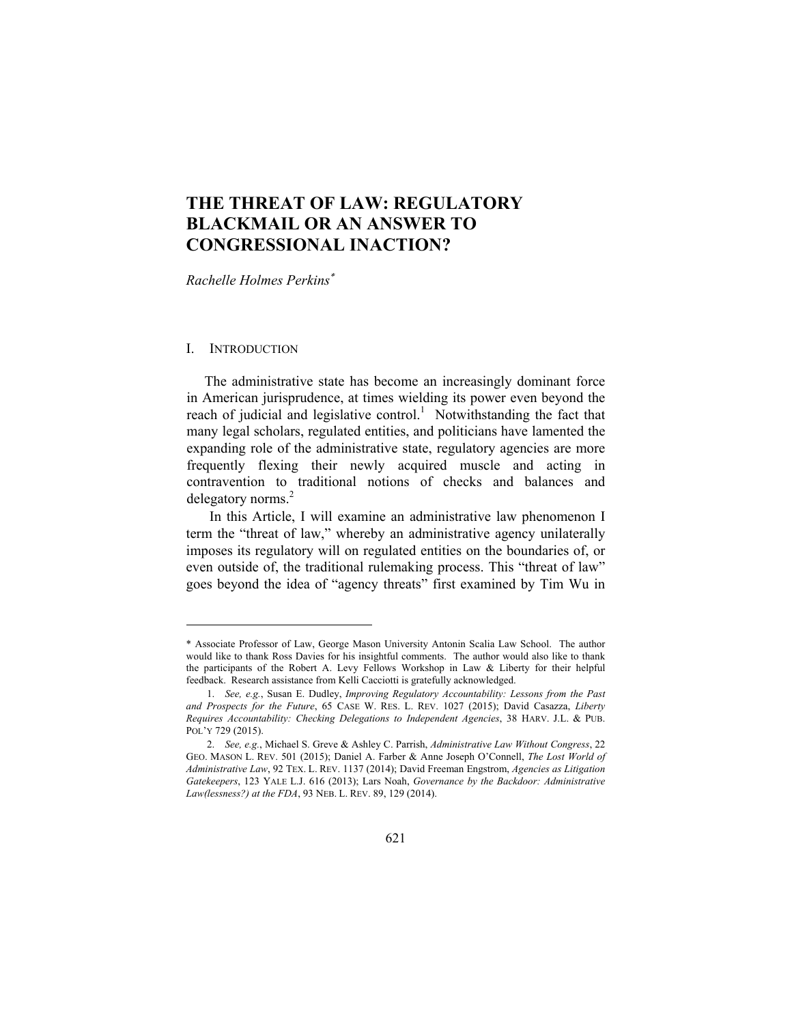# **THE THREAT OF LAW: REGULATORY BLACKMAIL OR AN ANSWER TO CONGRESSIONAL INACTION?**

*Rachelle Holmes Perkins*

# I. INTRODUCTION

 $\overline{a}$ 

 The administrative state has become an increasingly dominant force in American jurisprudence, at times wielding its power even beyond the reach of judicial and legislative control.<sup>1</sup> Notwithstanding the fact that many legal scholars, regulated entities, and politicians have lamented the expanding role of the administrative state, regulatory agencies are more frequently flexing their newly acquired muscle and acting in contravention to traditional notions of checks and balances and delegatory norms.<sup>2</sup>

In this Article, I will examine an administrative law phenomenon I term the "threat of law," whereby an administrative agency unilaterally imposes its regulatory will on regulated entities on the boundaries of, or even outside of, the traditional rulemaking process. This "threat of law" goes beyond the idea of "agency threats" first examined by Tim Wu in

<sup>\*</sup> Associate Professor of Law, George Mason University Antonin Scalia Law School. The author would like to thank Ross Davies for his insightful comments. The author would also like to thank the participants of the Robert A. Levy Fellows Workshop in Law & Liberty for their helpful feedback. Research assistance from Kelli Cacciotti is gratefully acknowledged.

 <sup>1.</sup> *See, e.g.*, Susan E. Dudley, *Improving Regulatory Accountability: Lessons from the Past and Prospects for the Future*, 65 CASE W. RES. L. REV. 1027 (2015); David Casazza, *Liberty Requires Accountability: Checking Delegations to Independent Agencies*, 38 HARV. J.L. & PUB. POL'Y 729 (2015).

 <sup>2.</sup> *See, e.g.*, Michael S. Greve & Ashley C. Parrish, *Administrative Law Without Congress*, 22 GEO. MASON L. REV. 501 (2015); Daniel A. Farber & Anne Joseph O'Connell, *The Lost World of Administrative Law*, 92 TEX. L. REV. 1137 (2014); David Freeman Engstrom, *Agencies as Litigation Gatekeepers*, 123 YALE L.J. 616 (2013); Lars Noah, *Governance by the Backdoor: Administrative Law(lessness?) at the FDA*, 93 NEB. L. REV. 89, 129 (2014).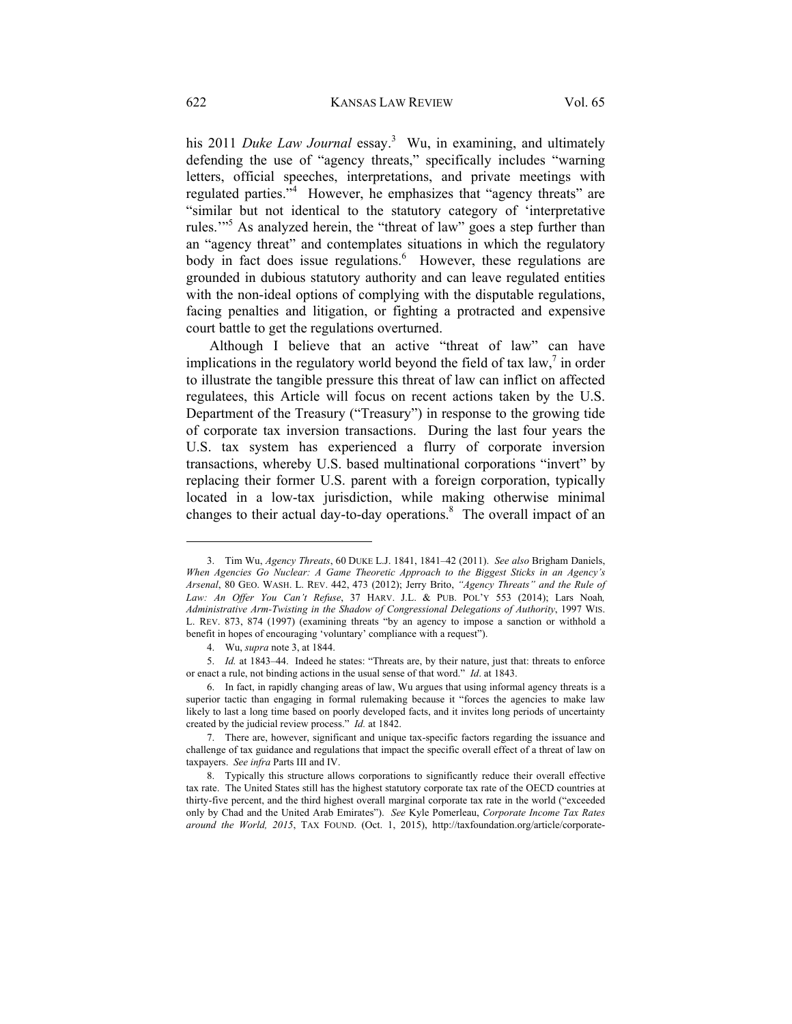his 2011 *Duke Law Journal* essay.<sup>3</sup> Wu, in examining, and ultimately defending the use of "agency threats," specifically includes "warning letters, official speeches, interpretations, and private meetings with regulated parties."<sup>4</sup> However, he emphasizes that "agency threats" are "similar but not identical to the statutory category of 'interpretative rules."<sup>5</sup> As analyzed herein, the "threat of law" goes a step further than an "agency threat" and contemplates situations in which the regulatory body in fact does issue regulations.<sup>6</sup> However, these regulations are grounded in dubious statutory authority and can leave regulated entities with the non-ideal options of complying with the disputable regulations, facing penalties and litigation, or fighting a protracted and expensive court battle to get the regulations overturned.

Although I believe that an active "threat of law" can have implications in the regulatory world beyond the field of tax  $law$ , in order to illustrate the tangible pressure this threat of law can inflict on affected regulatees, this Article will focus on recent actions taken by the U.S. Department of the Treasury ("Treasury") in response to the growing tide of corporate tax inversion transactions. During the last four years the U.S. tax system has experienced a flurry of corporate inversion transactions, whereby U.S. based multinational corporations "invert" by replacing their former U.S. parent with a foreign corporation, typically located in a low-tax jurisdiction, while making otherwise minimal changes to their actual day-to-day operations.<sup>8</sup> The overall impact of an

 <sup>3.</sup> Tim Wu, *Agency Threats*, 60 DUKE L.J. 1841, 1841–42 (2011). *See also* Brigham Daniels, *When Agencies Go Nuclear: A Game Theoretic Approach to the Biggest Sticks in an Agency's Arsenal*, 80 GEO. WASH. L. REV. 442, 473 (2012); Jerry Brito, *"Agency Threats" and the Rule of Law: An Offer You Can't Refuse*, 37 HARV. J.L. & PUB. POL'Y 553 (2014); Lars Noah*, Administrative Arm-Twisting in the Shadow of Congressional Delegations of Authority*, 1997 WIS. L. REV. 873, 874 (1997) (examining threats "by an agency to impose a sanction or withhold a benefit in hopes of encouraging 'voluntary' compliance with a request").

 <sup>4.</sup> Wu, *supra* note 3, at 1844.

 <sup>5.</sup> *Id.* at 1843–44. Indeed he states: "Threats are, by their nature, just that: threats to enforce or enact a rule, not binding actions in the usual sense of that word." *Id*. at 1843.

 <sup>6.</sup> In fact, in rapidly changing areas of law, Wu argues that using informal agency threats is a superior tactic than engaging in formal rulemaking because it "forces the agencies to make law likely to last a long time based on poorly developed facts, and it invites long periods of uncertainty created by the judicial review process." *Id.* at 1842.

 <sup>7.</sup> There are, however, significant and unique tax-specific factors regarding the issuance and challenge of tax guidance and regulations that impact the specific overall effect of a threat of law on taxpayers. *See infra* Parts III and IV.

 <sup>8.</sup> Typically this structure allows corporations to significantly reduce their overall effective tax rate. The United States still has the highest statutory corporate tax rate of the OECD countries at thirty-five percent, and the third highest overall marginal corporate tax rate in the world ("exceeded only by Chad and the United Arab Emirates"). *See* Kyle Pomerleau, *Corporate Income Tax Rates around the World, 2015*, TAX FOUND. (Oct. 1, 2015), http://taxfoundation.org/article/corporate-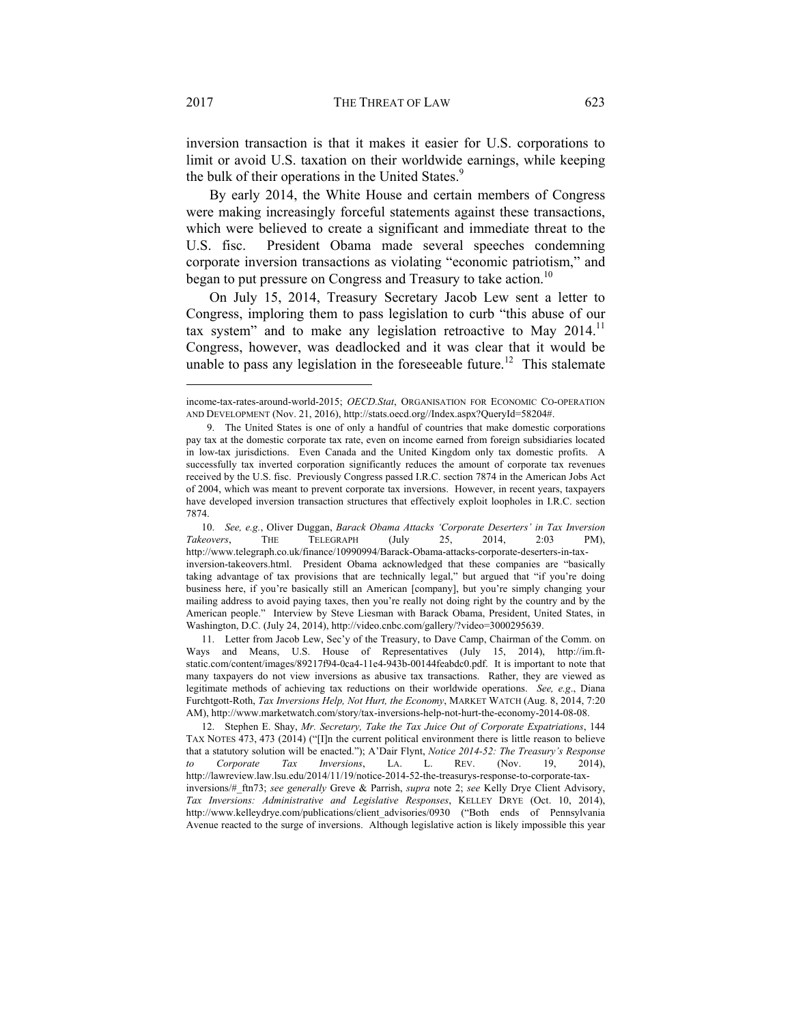inversion transaction is that it makes it easier for U.S. corporations to limit or avoid U.S. taxation on their worldwide earnings, while keeping the bulk of their operations in the United States.<sup>9</sup>

By early 2014, the White House and certain members of Congress were making increasingly forceful statements against these transactions, which were believed to create a significant and immediate threat to the U.S. fisc. President Obama made several speeches condemning corporate inversion transactions as violating "economic patriotism," and began to put pressure on Congress and Treasury to take action.<sup>10</sup>

On July 15, 2014, Treasury Secretary Jacob Lew sent a letter to Congress, imploring them to pass legislation to curb "this abuse of our tax system" and to make any legislation retroactive to May  $2014$ .<sup>11</sup> Congress, however, was deadlocked and it was clear that it would be unable to pass any legislation in the foreseeable future.<sup>12</sup> This stalemate

income-tax-rates-around-world-2015; *OECD.Stat*, ORGANISATION FOR ECONOMIC CO-OPERATION AND DEVELOPMENT (Nov. 21, 2016), http://stats.oecd.org//Index.aspx?QueryId=58204#.

 <sup>9.</sup> The United States is one of only a handful of countries that make domestic corporations pay tax at the domestic corporate tax rate, even on income earned from foreign subsidiaries located in low-tax jurisdictions. Even Canada and the United Kingdom only tax domestic profits. A successfully tax inverted corporation significantly reduces the amount of corporate tax revenues received by the U.S. fisc. Previously Congress passed I.R.C. section 7874 in the American Jobs Act of 2004, which was meant to prevent corporate tax inversions. However, in recent years, taxpayers have developed inversion transaction structures that effectively exploit loopholes in I.R.C. section 7874.

 <sup>10.</sup> *See, e.g.*, Oliver Duggan, *Barack Obama Attacks 'Corporate Deserters' in Tax Inversion Takeovers*, THE TELEGRAPH (July 25, 2014, 2:03 PM), http://www.telegraph.co.uk/finance/10990994/Barack-Obama-attacks-corporate-deserters-in-taxinversion-takeovers.html. President Obama acknowledged that these companies are "basically taking advantage of tax provisions that are technically legal," but argued that "if you're doing business here, if you're basically still an American [company], but you're simply changing your mailing address to avoid paying taxes, then you're really not doing right by the country and by the American people." Interview by Steve Liesman with Barack Obama, President, United States, in Washington, D.C. (July 24, 2014), http://video.cnbc.com/gallery/?video=3000295639.

 <sup>11.</sup> Letter from Jacob Lew, Sec'y of the Treasury, to Dave Camp, Chairman of the Comm. on Ways and Means, U.S. House of Representatives (July 15, 2014), http://im.ftstatic.com/content/images/89217f94-0ca4-11e4-943b-00144feabdc0.pdf. It is important to note that many taxpayers do not view inversions as abusive tax transactions. Rather, they are viewed as legitimate methods of achieving tax reductions on their worldwide operations. *See, e.g*., Diana Furchtgott-Roth, *Tax Inversions Help, Not Hurt, the Economy*, MARKET WATCH (Aug. 8, 2014, 7:20 AM), http://www.marketwatch.com/story/tax-inversions-help-not-hurt-the-economy-2014-08-08.

 <sup>12.</sup> Stephen E. Shay, *Mr. Secretary, Take the Tax Juice Out of Corporate Expatriations*, 144 TAX NOTES 473, 473 (2014) ("[I]n the current political environment there is little reason to believe that a statutory solution will be enacted."); A'Dair Flynt, *Notice 2014-52: The Treasury's Response to Corporate Tax Inversions*, LA. L. REV. (Nov. 19, 2014), http://lawreview.law.lsu.edu/2014/11/19/notice-2014-52-the-treasurys-response-to-corporate-taxinversions/#\_ftn73; *see generally* Greve & Parrish, *supra* note 2; *see* Kelly Drye Client Advisory, *Tax Inversions: Administrative and Legislative Responses*, KELLEY DRYE (Oct. 10, 2014), http://www.kelleydrye.com/publications/client\_advisories/0930 ("Both ends of Pennsylvania Avenue reacted to the surge of inversions. Although legislative action is likely impossible this year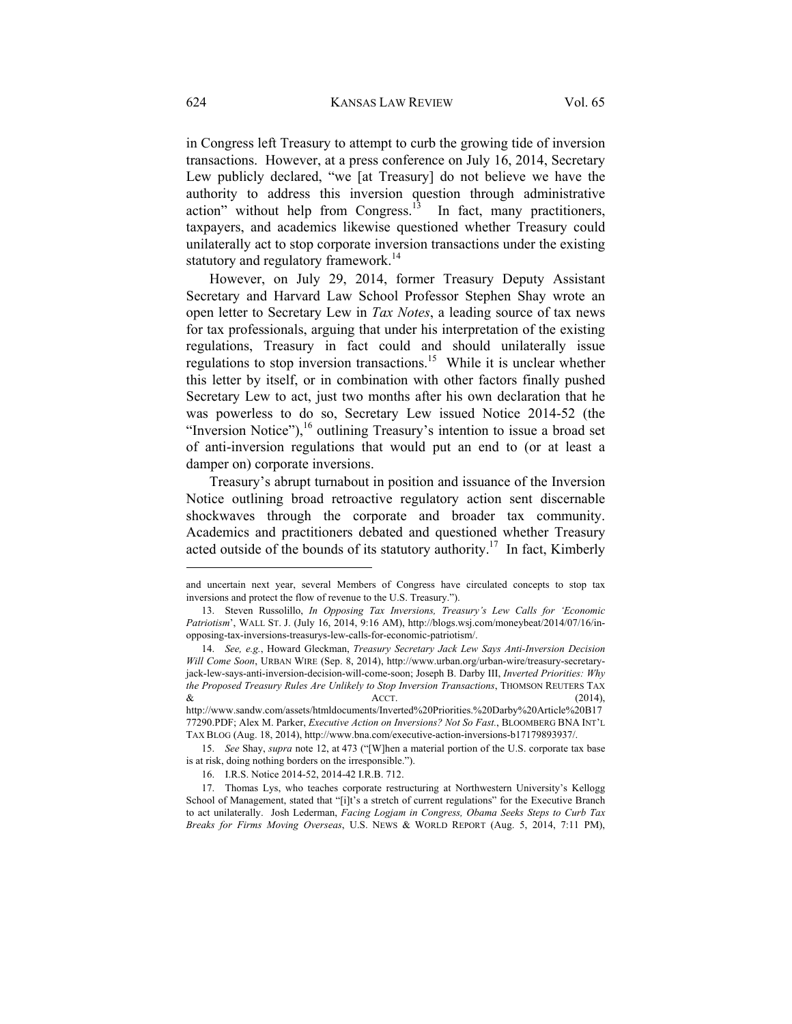in Congress left Treasury to attempt to curb the growing tide of inversion transactions. However, at a press conference on July 16, 2014, Secretary Lew publicly declared, "we [at Treasury] do not believe we have the authority to address this inversion question through administrative action" without help from Congress. $13$  In fact, many practitioners, taxpayers, and academics likewise questioned whether Treasury could unilaterally act to stop corporate inversion transactions under the existing statutory and regulatory framework.<sup>14</sup>

However, on July 29, 2014, former Treasury Deputy Assistant Secretary and Harvard Law School Professor Stephen Shay wrote an open letter to Secretary Lew in *Tax Notes*, a leading source of tax news for tax professionals, arguing that under his interpretation of the existing regulations, Treasury in fact could and should unilaterally issue regulations to stop inversion transactions.<sup>15</sup> While it is unclear whether this letter by itself, or in combination with other factors finally pushed Secretary Lew to act, just two months after his own declaration that he was powerless to do so, Secretary Lew issued Notice 2014-52 (the "Inversion Notice"),  $^{16}$  outlining Treasury's intention to issue a broad set of anti-inversion regulations that would put an end to (or at least a damper on) corporate inversions.

Treasury's abrupt turnabout in position and issuance of the Inversion Notice outlining broad retroactive regulatory action sent discernable shockwaves through the corporate and broader tax community. Academics and practitioners debated and questioned whether Treasury acted outside of the bounds of its statutory authority.<sup>17</sup> In fact, Kimberly

and uncertain next year, several Members of Congress have circulated concepts to stop tax inversions and protect the flow of revenue to the U.S. Treasury.").

 <sup>13.</sup> Steven Russolillo, *In Opposing Tax Inversions, Treasury's Lew Calls for 'Economic Patriotism*', WALL ST. J. (July 16, 2014, 9:16 AM), http://blogs.wsj.com/moneybeat/2014/07/16/inopposing-tax-inversions-treasurys-lew-calls-for-economic-patriotism/.

 <sup>14.</sup> *See, e.g.*, Howard Gleckman, *Treasury Secretary Jack Lew Says Anti-Inversion Decision Will Come Soon*, URBAN WIRE (Sep. 8, 2014), http://www.urban.org/urban-wire/treasury-secretaryjack-lew-says-anti-inversion-decision-will-come-soon; Joseph B. Darby III, *Inverted Priorities: Why the Proposed Treasury Rules Are Unlikely to Stop Inversion Transactions*, THOMSON REUTERS TAX  $\&$  ACCT. (2014),

http://www.sandw.com/assets/htmldocuments/Inverted%20Priorities.%20Darby%20Article%20B17 77290.PDF; Alex M. Parker, *Executive Action on Inversions? Not So Fast.*, BLOOMBERG BNA INT'L TAX BLOG (Aug. 18, 2014), http://www.bna.com/executive-action-inversions-b17179893937/.

 <sup>15.</sup> *See* Shay, *supra* note 12, at 473 ("[W]hen a material portion of the U.S. corporate tax base is at risk, doing nothing borders on the irresponsible.").

 <sup>16.</sup> I.R.S. Notice 2014-52, 2014-42 I.R.B. 712.

 <sup>17.</sup> Thomas Lys, who teaches corporate restructuring at Northwestern University's Kellogg School of Management, stated that "[i]t's a stretch of current regulations" for the Executive Branch to act unilaterally. Josh Lederman, *Facing Logjam in Congress, Obama Seeks Steps to Curb Tax Breaks for Firms Moving Overseas*, U.S. NEWS & WORLD REPORT (Aug. 5, 2014, 7:11 PM),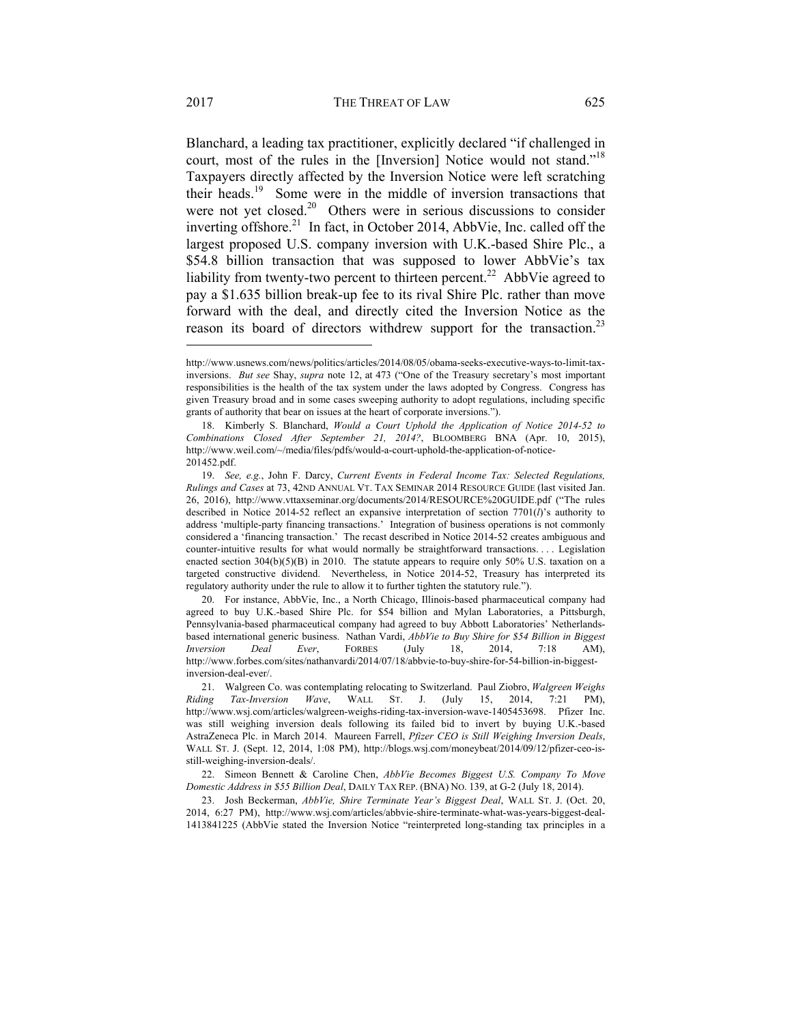Blanchard, a leading tax practitioner, explicitly declared "if challenged in court, most of the rules in the [Inversion] Notice would not stand."<sup>18</sup> Taxpayers directly affected by the Inversion Notice were left scratching their heads.19 Some were in the middle of inversion transactions that were not yet closed.<sup>20</sup> Others were in serious discussions to consider inverting offshore.<sup>21</sup> In fact, in October 2014, AbbVie, Inc. called off the largest proposed U.S. company inversion with U.K.-based Shire Plc., a \$54.8 billion transaction that was supposed to lower AbbVie's tax liability from twenty-two percent to thirteen percent.<sup>22</sup> AbbVie agreed to pay a \$1.635 billion break-up fee to its rival Shire Plc. rather than move forward with the deal, and directly cited the Inversion Notice as the reason its board of directors withdrew support for the transaction.<sup>23</sup>

http://www.usnews.com/news/politics/articles/2014/08/05/obama-seeks-executive-ways-to-limit-taxinversions. *But see* Shay, *supra* note 12, at 473 ("One of the Treasury secretary's most important responsibilities is the health of the tax system under the laws adopted by Congress. Congress has given Treasury broad and in some cases sweeping authority to adopt regulations, including specific grants of authority that bear on issues at the heart of corporate inversions.").

 <sup>18.</sup> Kimberly S. Blanchard, *Would a Court Uphold the Application of Notice 2014-52 to Combinations Closed After September 21, 2014?*, BLOOMBERG BNA (Apr. 10, 2015), http://www.weil.com/~/media/files/pdfs/would-a-court-uphold-the-application-of-notice-201452.pdf.

 <sup>19.</sup> *See, e.g.*, John F. Darcy, *Current Events in Federal Income Tax: Selected Regulations, Rulings and Cases* at 73, 42ND ANNUAL VT. TAX SEMINAR 2014 RESOURCE GUIDE (last visited Jan. 26, 2016), http://www.vttaxseminar.org/documents/2014/RESOURCE%20GUIDE.pdf ("The rules described in Notice 2014-52 reflect an expansive interpretation of section 7701(*l*)'s authority to address 'multiple-party financing transactions.' Integration of business operations is not commonly considered a 'financing transaction.' The recast described in Notice 2014-52 creates ambiguous and counter-intuitive results for what would normally be straightforward transactions. . . . Legislation enacted section  $304(b)(5)(B)$  in 2010. The statute appears to require only 50% U.S. taxation on a targeted constructive dividend. Nevertheless, in Notice 2014-52, Treasury has interpreted its regulatory authority under the rule to allow it to further tighten the statutory rule.").

 <sup>20.</sup> For instance, AbbVie, Inc., a North Chicago, Illinois-based pharmaceutical company had agreed to buy U.K.-based Shire Plc. for \$54 billion and Mylan Laboratories, a Pittsburgh, Pennsylvania-based pharmaceutical company had agreed to buy Abbott Laboratories' Netherlandsbased international generic business. Nathan Vardi, *AbbVie to Buy Shire for \$54 Billion in Biggest Inversion Deal Ever*, FORBES (July 18, 2014, 7:18 AM), http://www.forbes.com/sites/nathanvardi/2014/07/18/abbvie-to-buy-shire-for-54-billion-in-biggestinversion-deal-ever/.

 <sup>21.</sup> Walgreen Co. was contemplating relocating to Switzerland. Paul Ziobro, *Walgreen Weighs Riding Tax-Inversion Wave*, WALL ST. J. (July 15, 2014, 7:21 PM), http://www.wsj.com/articles/walgreen-weighs-riding-tax-inversion-wave-1405453698. Pfizer Inc. was still weighing inversion deals following its failed bid to invert by buying U.K.-based AstraZeneca Plc. in March 2014. Maureen Farrell, *Pfizer CEO is Still Weighing Inversion Deals*, WALL ST. J. (Sept. 12, 2014, 1:08 PM), http://blogs.wsj.com/moneybeat/2014/09/12/pfizer-ceo-isstill-weighing-inversion-deals/.

 <sup>22.</sup> Simeon Bennett & Caroline Chen, *AbbVie Becomes Biggest U.S. Company To Move Domestic Address in \$55 Billion Deal*, DAILY TAX REP. (BNA) NO. 139, at G-2 (July 18, 2014).

 <sup>23.</sup> Josh Beckerman, *AbbVie, Shire Terminate Year's Biggest Deal*, WALL ST. J. (Oct. 20, 2014, 6:27 PM), http://www.wsj.com/articles/abbvie-shire-terminate-what-was-years-biggest-deal-1413841225 (AbbVie stated the Inversion Notice "reinterpreted long-standing tax principles in a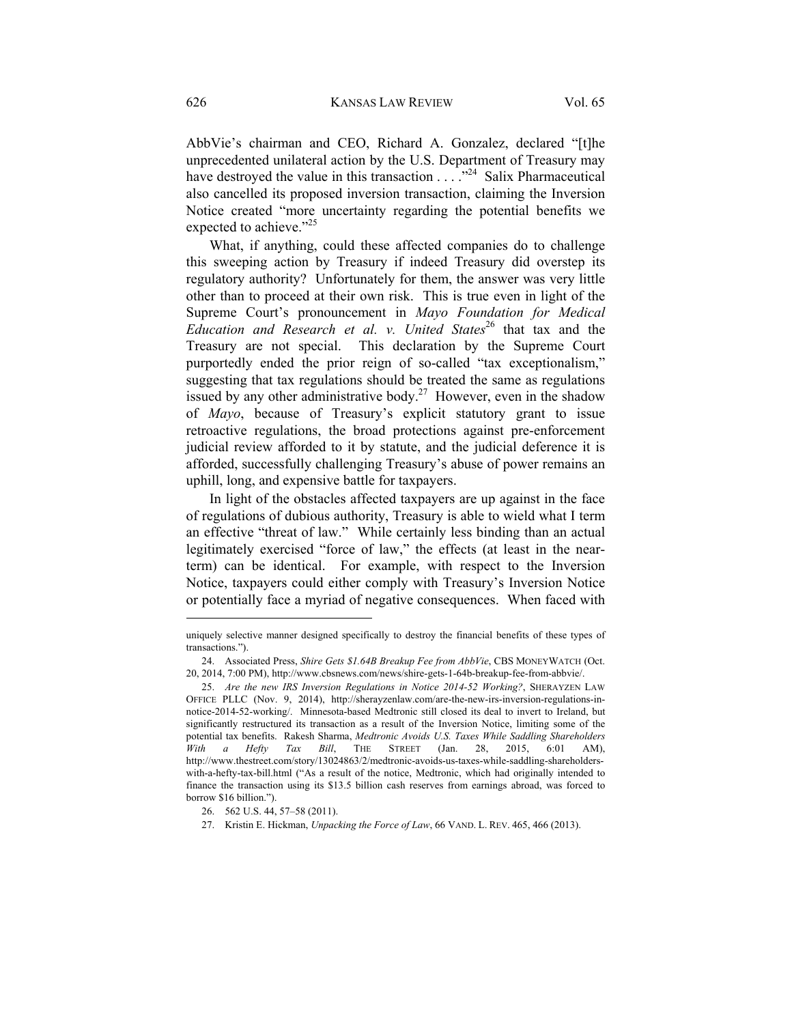AbbVie's chairman and CEO, Richard A. Gonzalez, declared "[t]he unprecedented unilateral action by the U.S. Department of Treasury may have destroyed the value in this transaction  $\ldots$  . .<sup>24</sup> Salix Pharmaceutical also cancelled its proposed inversion transaction, claiming the Inversion Notice created "more uncertainty regarding the potential benefits we expected to achieve."<sup>25</sup>

What, if anything, could these affected companies do to challenge this sweeping action by Treasury if indeed Treasury did overstep its regulatory authority? Unfortunately for them, the answer was very little other than to proceed at their own risk. This is true even in light of the Supreme Court's pronouncement in *Mayo Foundation for Medical Education and Research et al. v. United States*<sup>26</sup> that tax and the Treasury are not special. This declaration by the Supreme Court purportedly ended the prior reign of so-called "tax exceptionalism," suggesting that tax regulations should be treated the same as regulations issued by any other administrative body.<sup>27</sup> However, even in the shadow of *Mayo*, because of Treasury's explicit statutory grant to issue retroactive regulations, the broad protections against pre-enforcement judicial review afforded to it by statute, and the judicial deference it is afforded, successfully challenging Treasury's abuse of power remains an uphill, long, and expensive battle for taxpayers.

In light of the obstacles affected taxpayers are up against in the face of regulations of dubious authority, Treasury is able to wield what I term an effective "threat of law." While certainly less binding than an actual legitimately exercised "force of law," the effects (at least in the nearterm) can be identical. For example, with respect to the Inversion Notice, taxpayers could either comply with Treasury's Inversion Notice or potentially face a myriad of negative consequences. When faced with

uniquely selective manner designed specifically to destroy the financial benefits of these types of transactions.").

 <sup>24.</sup> Associated Press, *Shire Gets \$1.64B Breakup Fee from AbbVie*, CBS MONEYWATCH (Oct. 20, 2014, 7:00 PM), http://www.cbsnews.com/news/shire-gets-1-64b-breakup-fee-from-abbvie/.

 <sup>25.</sup> *Are the new IRS Inversion Regulations in Notice 2014-52 Working?*, SHERAYZEN LAW OFFICE PLLC (Nov. 9, 2014), http://sherayzenlaw.com/are-the-new-irs-inversion-regulations-innotice-2014-52-working/. Minnesota-based Medtronic still closed its deal to invert to Ireland, but significantly restructured its transaction as a result of the Inversion Notice, limiting some of the potential tax benefits. Rakesh Sharma, *Medtronic Avoids U.S. Taxes While Saddling Shareholders With a Hefty Tax Bill*, THE STREET (Jan. 28, 2015, 6:01 AM), http://www.thestreet.com/story/13024863/2/medtronic-avoids-us-taxes-while-saddling-shareholderswith-a-hefty-tax-bill.html ("As a result of the notice, Medtronic, which had originally intended to finance the transaction using its \$13.5 billion cash reserves from earnings abroad, was forced to borrow \$16 billion.").

 <sup>26. 562</sup> U.S. 44, 57–58 (2011).

 <sup>27.</sup> Kristin E. Hickman, *Unpacking the Force of Law*, 66 VAND. L. REV. 465, 466 (2013).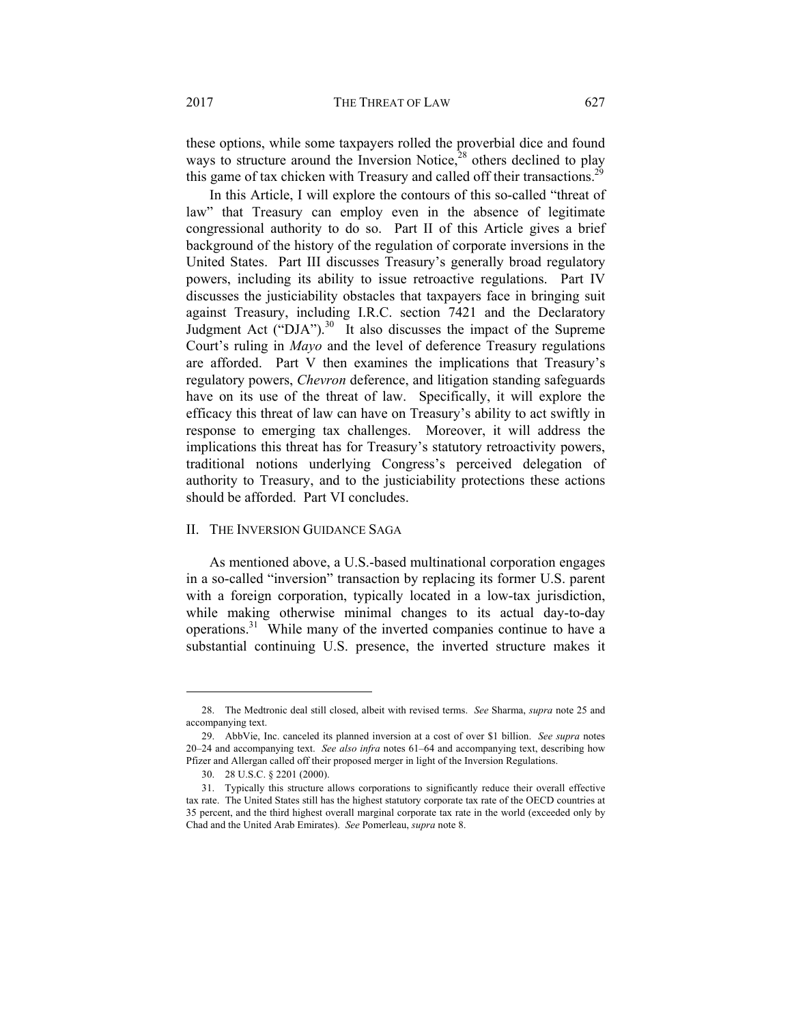these options, while some taxpayers rolled the proverbial dice and found ways to structure around the Inversion Notice, $28$  others declined to play this game of tax chicken with Treasury and called off their transactions.<sup>29</sup>

In this Article, I will explore the contours of this so-called "threat of law" that Treasury can employ even in the absence of legitimate congressional authority to do so. Part II of this Article gives a brief background of the history of the regulation of corporate inversions in the United States. Part III discusses Treasury's generally broad regulatory powers, including its ability to issue retroactive regulations. Part IV discusses the justiciability obstacles that taxpayers face in bringing suit against Treasury, including I.R.C. section 7421 and the Declaratory Judgment Act ("DJA").<sup>30</sup> It also discusses the impact of the Supreme Court's ruling in *Mayo* and the level of deference Treasury regulations are afforded. Part V then examines the implications that Treasury's regulatory powers, *Chevron* deference, and litigation standing safeguards have on its use of the threat of law. Specifically, it will explore the efficacy this threat of law can have on Treasury's ability to act swiftly in response to emerging tax challenges. Moreover, it will address the implications this threat has for Treasury's statutory retroactivity powers, traditional notions underlying Congress's perceived delegation of authority to Treasury, and to the justiciability protections these actions should be afforded. Part VI concludes.

# II. THE INVERSION GUIDANCE SAGA

As mentioned above, a U.S.-based multinational corporation engages in a so-called "inversion" transaction by replacing its former U.S. parent with a foreign corporation, typically located in a low-tax jurisdiction, while making otherwise minimal changes to its actual day-to-day operations.31 While many of the inverted companies continue to have a substantial continuing U.S. presence, the inverted structure makes it

 <sup>28.</sup> The Medtronic deal still closed, albeit with revised terms. *See* Sharma, *supra* note 25 and accompanying text.

 <sup>29.</sup> AbbVie, Inc. canceled its planned inversion at a cost of over \$1 billion. *See supra* notes 20–24 and accompanying text. *See also infra* notes 61–64 and accompanying text, describing how Pfizer and Allergan called off their proposed merger in light of the Inversion Regulations.

 <sup>30. 28</sup> U.S.C. § 2201 (2000).

 <sup>31.</sup> Typically this structure allows corporations to significantly reduce their overall effective tax rate. The United States still has the highest statutory corporate tax rate of the OECD countries at 35 percent, and the third highest overall marginal corporate tax rate in the world (exceeded only by Chad and the United Arab Emirates). *See* Pomerleau, *supra* note 8.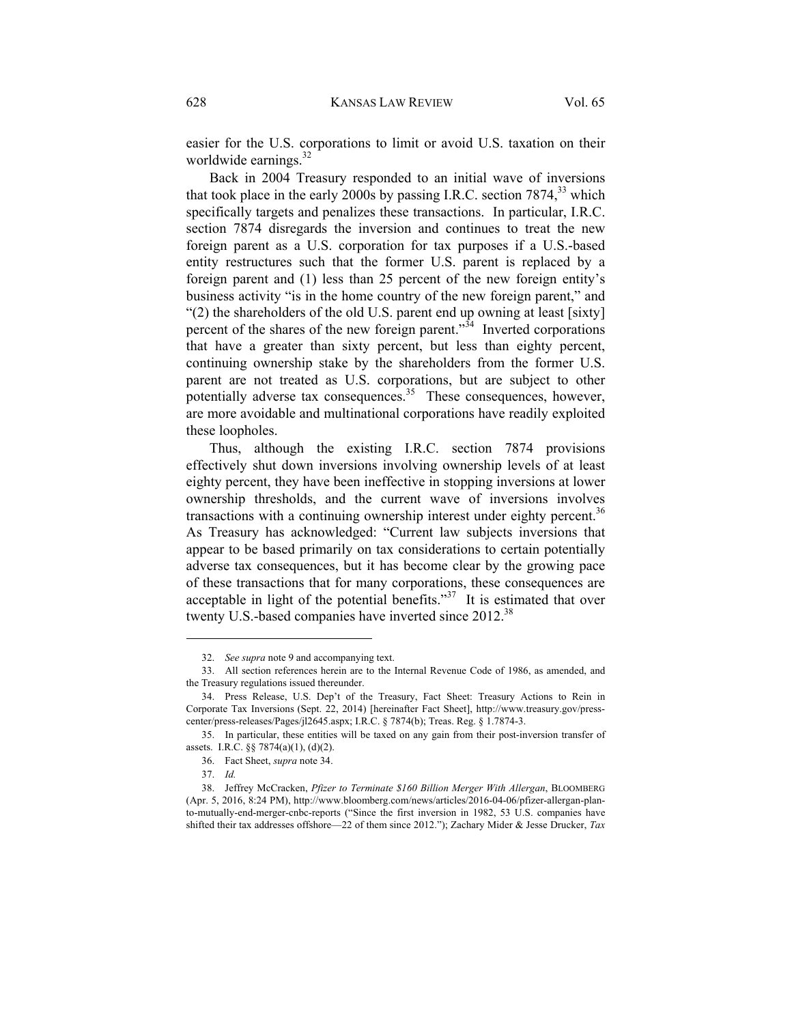easier for the U.S. corporations to limit or avoid U.S. taxation on their worldwide earnings.<sup>32</sup>

Back in 2004 Treasury responded to an initial wave of inversions that took place in the early 2000s by passing I.R.C. section  $7874<sup>33</sup>$  which specifically targets and penalizes these transactions. In particular, I.R.C. section 7874 disregards the inversion and continues to treat the new foreign parent as a U.S. corporation for tax purposes if a U.S.-based entity restructures such that the former U.S. parent is replaced by a foreign parent and (1) less than 25 percent of the new foreign entity's business activity "is in the home country of the new foreign parent," and "(2) the shareholders of the old U.S. parent end up owning at least [sixty] percent of the shares of the new foreign parent." $34$  Inverted corporations that have a greater than sixty percent, but less than eighty percent, continuing ownership stake by the shareholders from the former U.S. parent are not treated as U.S. corporations, but are subject to other potentially adverse tax consequences.<sup>35</sup> These consequences, however, are more avoidable and multinational corporations have readily exploited these loopholes.

Thus, although the existing I.R.C. section 7874 provisions effectively shut down inversions involving ownership levels of at least eighty percent, they have been ineffective in stopping inversions at lower ownership thresholds, and the current wave of inversions involves transactions with a continuing ownership interest under eighty percent.<sup>36</sup> As Treasury has acknowledged: "Current law subjects inversions that appear to be based primarily on tax considerations to certain potentially adverse tax consequences, but it has become clear by the growing pace of these transactions that for many corporations, these consequences are acceptable in light of the potential benefits."37 It is estimated that over twenty U.S.-based companies have inverted since 2012.<sup>38</sup>

 <sup>32.</sup> *See supra* note 9 and accompanying text.

 <sup>33.</sup> All section references herein are to the Internal Revenue Code of 1986, as amended, and the Treasury regulations issued thereunder.

 <sup>34.</sup> Press Release, U.S. Dep't of the Treasury, Fact Sheet: Treasury Actions to Rein in Corporate Tax Inversions (Sept. 22, 2014) [hereinafter Fact Sheet], http://www.treasury.gov/presscenter/press-releases/Pages/jl2645.aspx; I.R.C. § 7874(b); Treas. Reg. § 1.7874-3.

 <sup>35.</sup> In particular, these entities will be taxed on any gain from their post-inversion transfer of assets. I.R.C. §§ 7874(a)(1), (d)(2).

 <sup>36.</sup> Fact Sheet, *supra* note 34.

 <sup>37.</sup> *Id.*

 <sup>38.</sup> Jeffrey McCracken, *Pfizer to Terminate \$160 Billion Merger With Allergan*, BLOOMBERG (Apr. 5, 2016, 8:24 PM), http://www.bloomberg.com/news/articles/2016-04-06/pfizer-allergan-planto-mutually-end-merger-cnbc-reports ("Since the first inversion in 1982, 53 U.S. companies have shifted their tax addresses offshore—22 of them since 2012."); Zachary Mider & Jesse Drucker, *Tax*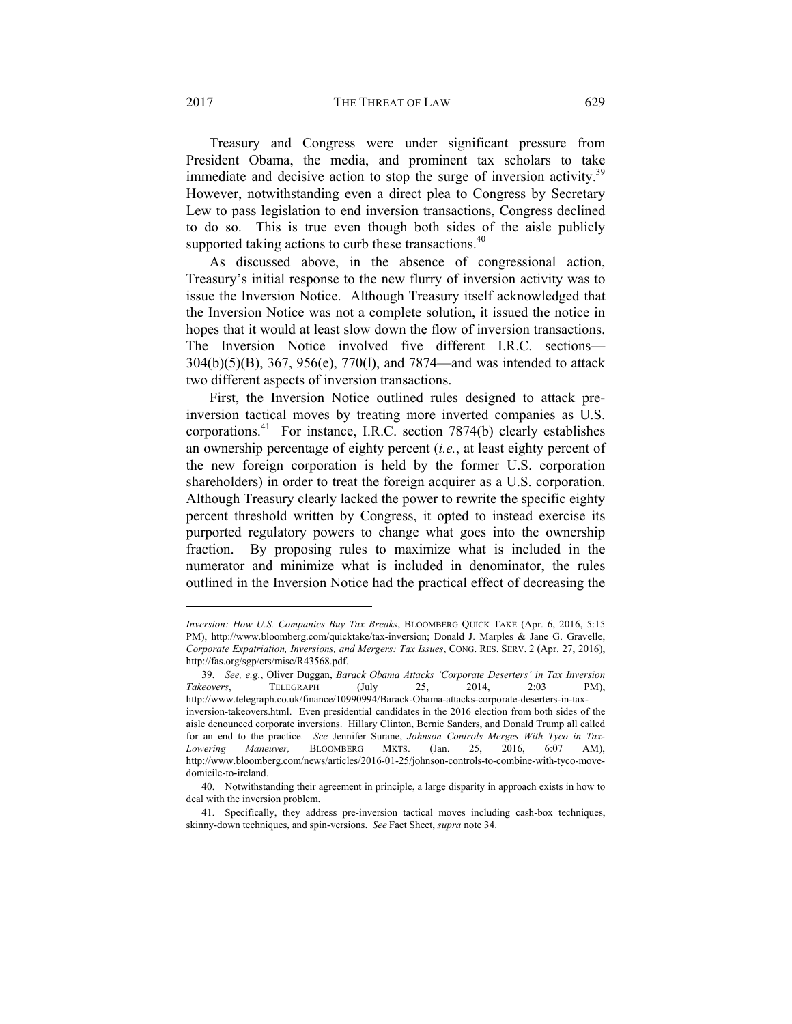2017 THE THREAT OF LAW 629

Treasury and Congress were under significant pressure from President Obama, the media, and prominent tax scholars to take immediate and decisive action to stop the surge of inversion activity.<sup>39</sup> However, notwithstanding even a direct plea to Congress by Secretary Lew to pass legislation to end inversion transactions, Congress declined to do so. This is true even though both sides of the aisle publicly supported taking actions to curb these transactions.<sup>40</sup>

As discussed above, in the absence of congressional action, Treasury's initial response to the new flurry of inversion activity was to issue the Inversion Notice. Although Treasury itself acknowledged that the Inversion Notice was not a complete solution, it issued the notice in hopes that it would at least slow down the flow of inversion transactions. The Inversion Notice involved five different I.R.C. sections— 304(b)(5)(B), 367, 956(e), 770(l), and 7874—and was intended to attack two different aspects of inversion transactions.

First, the Inversion Notice outlined rules designed to attack preinversion tactical moves by treating more inverted companies as U.S. corporations.<sup>41</sup> For instance, I.R.C. section  $7874(b)$  clearly establishes an ownership percentage of eighty percent (*i.e.*, at least eighty percent of the new foreign corporation is held by the former U.S. corporation shareholders) in order to treat the foreign acquirer as a U.S. corporation. Although Treasury clearly lacked the power to rewrite the specific eighty percent threshold written by Congress, it opted to instead exercise its purported regulatory powers to change what goes into the ownership fraction. By proposing rules to maximize what is included in the numerator and minimize what is included in denominator, the rules outlined in the Inversion Notice had the practical effect of decreasing the

*Inversion: How U.S. Companies Buy Tax Breaks*, BLOOMBERG QUICK TAKE (Apr. 6, 2016, 5:15 PM), http://www.bloomberg.com/quicktake/tax-inversion; Donald J. Marples & Jane G. Gravelle, *Corporate Expatriation, Inversions, and Mergers: Tax Issues*, CONG. RES. SERV. 2 (Apr. 27, 2016), http://fas.org/sgp/crs/misc/R43568.pdf.

 <sup>39.</sup> *See, e.g.*, Oliver Duggan, *Barack Obama Attacks 'Corporate Deserters' in Tax Inversion Takeovers*, TELEGRAPH (July 25, 2014, 2:03 PM), http://www.telegraph.co.uk/finance/10990994/Barack-Obama-attacks-corporate-deserters-in-taxinversion-takeovers.html. Even presidential candidates in the 2016 election from both sides of the aisle denounced corporate inversions. Hillary Clinton, Bernie Sanders, and Donald Trump all called for an end to the practice. *See* Jennifer Surane, *Johnson Controls Merges With Tyco in Tax-Lowering Maneuver,* BLOOMBERG MKTS. (Jan. 25, 2016, 6:07 AM), http://www.bloomberg.com/news/articles/2016-01-25/johnson-controls-to-combine-with-tyco-movedomicile-to-ireland.

 <sup>40.</sup> Notwithstanding their agreement in principle, a large disparity in approach exists in how to deal with the inversion problem.

 <sup>41.</sup> Specifically, they address pre-inversion tactical moves including cash-box techniques, skinny-down techniques, and spin-versions. *See* Fact Sheet, *supra* note 34.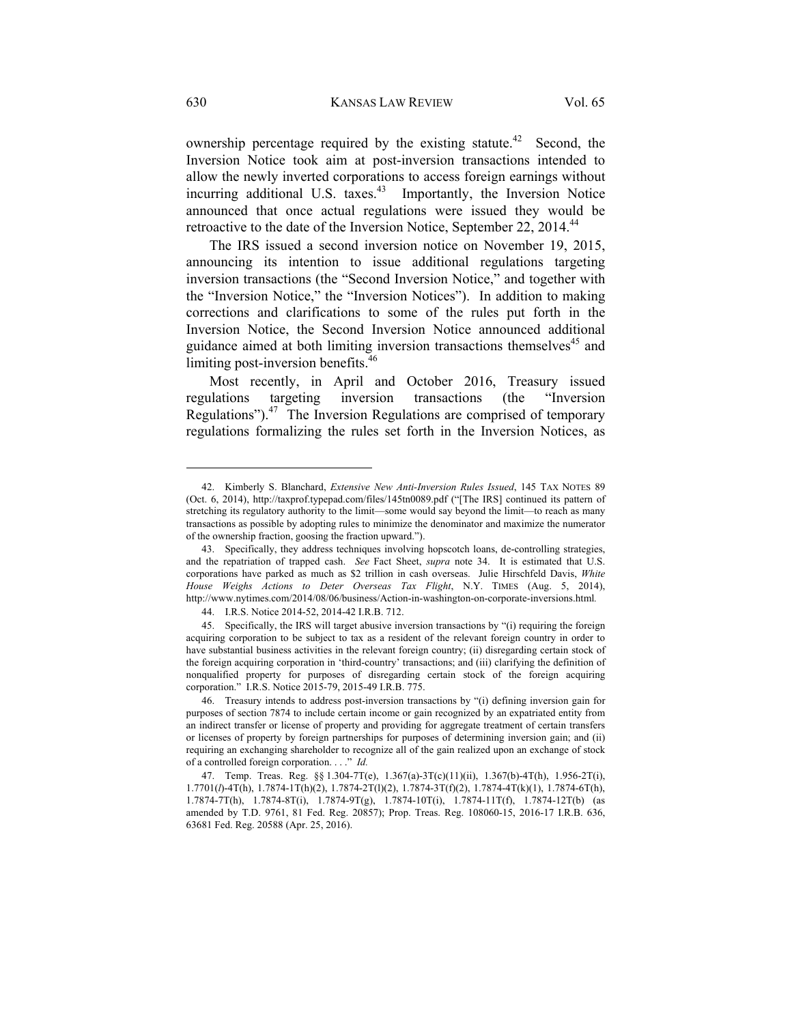ownership percentage required by the existing statute.<sup>42</sup> Second, the Inversion Notice took aim at post-inversion transactions intended to allow the newly inverted corporations to access foreign earnings without incurring additional U.S. taxes. $43$  Importantly, the Inversion Notice announced that once actual regulations were issued they would be retroactive to the date of the Inversion Notice, September 22, 2014.<sup>44</sup>

The IRS issued a second inversion notice on November 19, 2015, announcing its intention to issue additional regulations targeting inversion transactions (the "Second Inversion Notice," and together with the "Inversion Notice," the "Inversion Notices"). In addition to making corrections and clarifications to some of the rules put forth in the Inversion Notice, the Second Inversion Notice announced additional guidance aimed at both limiting inversion transactions themselves<sup>45</sup> and limiting post-inversion benefits.<sup>46</sup>

Most recently, in April and October 2016, Treasury issued regulations targeting inversion transactions (the "Inversion Regulations"). $47$  The Inversion Regulations are comprised of temporary regulations formalizing the rules set forth in the Inversion Notices, as

 <sup>42.</sup> Kimberly S. Blanchard, *Extensive New Anti-Inversion Rules Issued*, 145 TAX NOTES 89 (Oct. 6, 2014), http://taxprof.typepad.com/files/145tn0089.pdf ("[The IRS] continued its pattern of stretching its regulatory authority to the limit—some would say beyond the limit—to reach as many transactions as possible by adopting rules to minimize the denominator and maximize the numerator of the ownership fraction, goosing the fraction upward.").

 <sup>43.</sup> Specifically, they address techniques involving hopscotch loans, de-controlling strategies, and the repatriation of trapped cash. *See* Fact Sheet, *supra* note 34. It is estimated that U.S. corporations have parked as much as \$2 trillion in cash overseas. Julie Hirschfeld Davis, *White House Weighs Actions to Deter Overseas Tax Flight*, N.Y. TIMES (Aug. 5, 2014), http://www.nytimes.com/2014/08/06/business/Action-in-washington-on-corporate-inversions.html*.*

 <sup>44.</sup> I.R.S. Notice 2014-52, 2014-42 I.R.B. 712.

 <sup>45.</sup> Specifically, the IRS will target abusive inversion transactions by "(i) requiring the foreign acquiring corporation to be subject to tax as a resident of the relevant foreign country in order to have substantial business activities in the relevant foreign country; (ii) disregarding certain stock of the foreign acquiring corporation in 'third-country' transactions; and (iii) clarifying the definition of nonqualified property for purposes of disregarding certain stock of the foreign acquiring corporation." I.R.S. Notice 2015-79, 2015-49 I.R.B. 775.

 <sup>46.</sup> Treasury intends to address post-inversion transactions by "(i) defining inversion gain for purposes of section 7874 to include certain income or gain recognized by an expatriated entity from an indirect transfer or license of property and providing for aggregate treatment of certain transfers or licenses of property by foreign partnerships for purposes of determining inversion gain; and (ii) requiring an exchanging shareholder to recognize all of the gain realized upon an exchange of stock of a controlled foreign corporation. . . ." *Id.*

 <sup>47.</sup> Temp. Treas. Reg. §§ 1.304-7T(e), 1.367(a)-3T(c)(11)(ii), 1.367(b)-4T(h), 1.956-2T(i), 1.7701(*l*)-4T(h), 1.7874-1T(h)(2), 1.7874-2T(l)(2), 1.7874-3T(f)(2), 1.7874-4T(k)(1), 1.7874-6T(h), 1.7874-7T(h), 1.7874-8T(i), 1.7874-9T(g), 1.7874-10T(i), 1.7874-11T(f), 1.7874-12T(b) (as amended by T.D. 9761, 81 Fed. Reg. 20857); Prop. Treas. Reg. 108060-15, 2016-17 I.R.B. 636, 63681 Fed. Reg. 20588 (Apr. 25, 2016).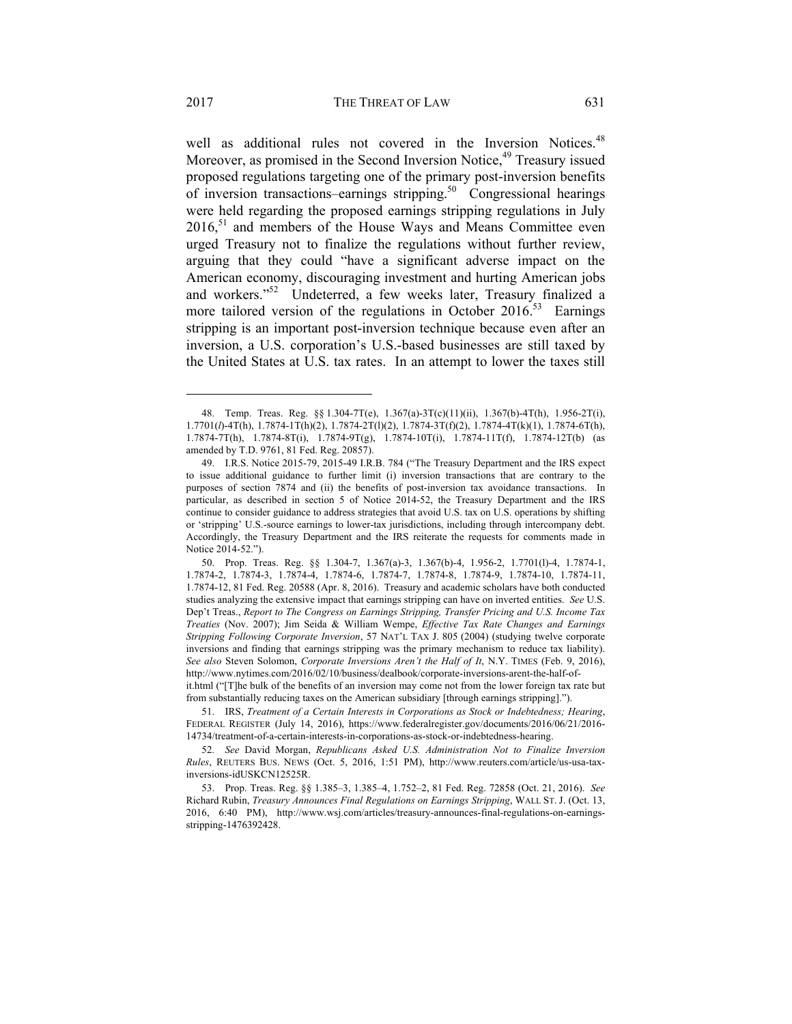well as additional rules not covered in the Inversion Notices.<sup>48</sup> Moreover, as promised in the Second Inversion Notice,<sup>49</sup> Treasury issued proposed regulations targeting one of the primary post-inversion benefits of inversion transactions–earnings stripping.50 Congressional hearings were held regarding the proposed earnings stripping regulations in July  $2016<sup>51</sup>$  and members of the House Ways and Means Committee even urged Treasury not to finalize the regulations without further review, arguing that they could "have a significant adverse impact on the American economy, discouraging investment and hurting American jobs and workers."52 Undeterred, a few weeks later, Treasury finalized a more tailored version of the regulations in October 2016.<sup>53</sup> Earnings stripping is an important post-inversion technique because even after an inversion, a U.S. corporation's U.S.-based businesses are still taxed by the United States at U.S. tax rates. In an attempt to lower the taxes still

 <sup>48.</sup> Temp. Treas. Reg. §§ 1.304-7T(e), 1.367(a)-3T(c)(11)(ii), 1.367(b)-4T(h), 1.956-2T(i), 1.7701(*l*)-4T(h), 1.7874-1T(h)(2), 1.7874-2T(l)(2), 1.7874-3T(f)(2), 1.7874-4T(k)(1), 1.7874-6T(h), 1.7874-7T(h), 1.7874-8T(i), 1.7874-9T(g), 1.7874-10T(i), 1.7874-11T(f), 1.7874-12T(b) (as amended by T.D. 9761, 81 Fed. Reg. 20857).

 <sup>49.</sup> I.R.S. Notice 2015-79, 2015-49 I.R.B. 784 ("The Treasury Department and the IRS expect to issue additional guidance to further limit (i) inversion transactions that are contrary to the purposes of section 7874 and (ii) the benefits of post-inversion tax avoidance transactions. In particular, as described in section 5 of Notice 2014-52, the Treasury Department and the IRS continue to consider guidance to address strategies that avoid U.S. tax on U.S. operations by shifting or 'stripping' U.S.-source earnings to lower-tax jurisdictions, including through intercompany debt. Accordingly, the Treasury Department and the IRS reiterate the requests for comments made in Notice 2014-52.").

 <sup>50.</sup> Prop. Treas. Reg. §§ 1.304-7, 1.367(a)-3, 1.367(b)-4, 1.956-2, 1.7701(l)-4, 1.7874-1, 1.7874-2, 1.7874-3, 1.7874-4, 1.7874-6, 1.7874-7, 1.7874-8, 1.7874-9, 1.7874-10, 1.7874-11, 1.7874-12, 81 Fed. Reg. 20588 (Apr. 8, 2016). Treasury and academic scholars have both conducted studies analyzing the extensive impact that earnings stripping can have on inverted entities. *See* U.S. Dep't Treas., *Report to The Congress on Earnings Stripping, Transfer Pricing and U.S. Income Tax Treaties* (Nov. 2007); Jim Seida & William Wempe, *Effective Tax Rate Changes and Earnings Stripping Following Corporate Inversion*, 57 NAT'L TAX J. 805 (2004) (studying twelve corporate inversions and finding that earnings stripping was the primary mechanism to reduce tax liability). *See also* Steven Solomon, *Corporate Inversions Aren't the Half of It*, N.Y. TIMES (Feb. 9, 2016), http://www.nytimes.com/2016/02/10/business/dealbook/corporate-inversions-arent-the-half-ofit.html ("[T]he bulk of the benefits of an inversion may come not from the lower foreign tax rate but

from substantially reducing taxes on the American subsidiary [through earnings stripping].").

 <sup>51.</sup> IRS, *Treatment of a Certain Interests in Corporations as Stock or Indebtedness; Hearing*, FEDERAL REGISTER (July 14, 2016), https://www.federalregister.gov/documents/2016/06/21/2016- 14734/treatment-of-a-certain-interests-in-corporations-as-stock-or-indebtedness-hearing.

 <sup>52.</sup> *See* David Morgan, *Republicans Asked U.S. Administration Not to Finalize Inversion Rules*, REUTERS BUS. NEWS (Oct. 5, 2016, 1:51 PM), http://www.reuters.com/article/us-usa-taxinversions-idUSKCN12525R.

 <sup>53.</sup> Prop. Treas. Reg. §§ 1.385–3, 1.385–4, 1.752–2, 81 Fed. Reg. 72858 (Oct. 21, 2016). *See* Richard Rubin, *Treasury Announces Final Regulations on Earnings Stripping*, WALL ST. J. (Oct. 13, 2016, 6:40 PM), http://www.wsj.com/articles/treasury-announces-final-regulations-on-earningsstripping-1476392428.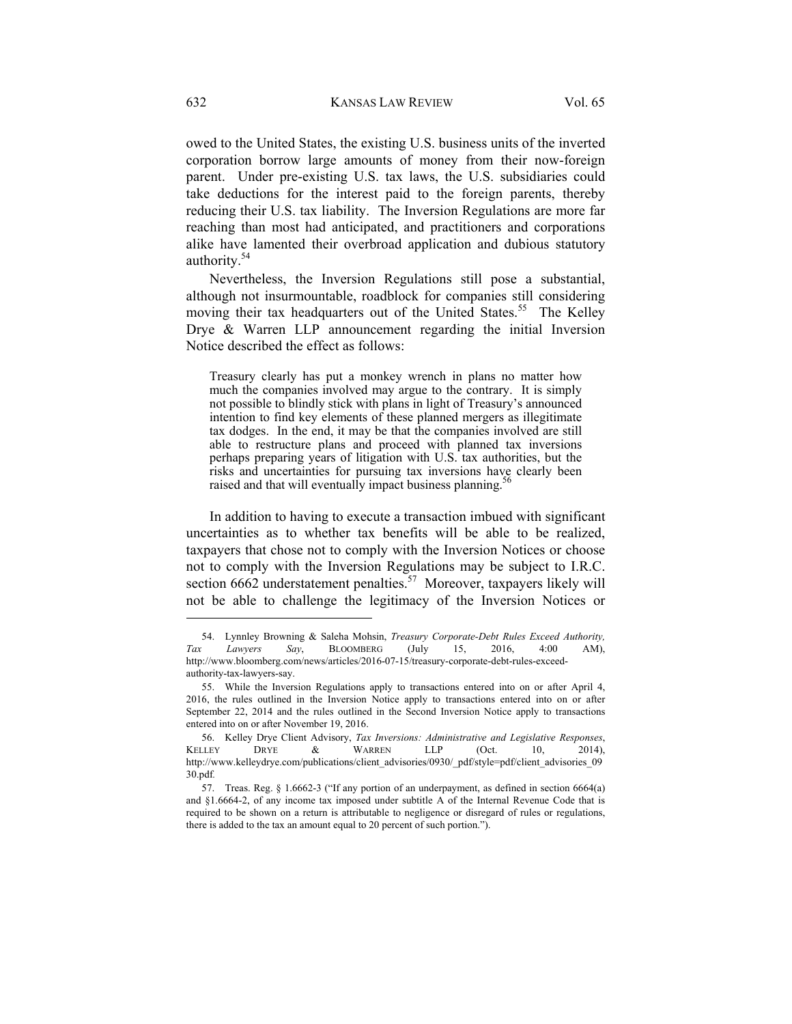owed to the United States, the existing U.S. business units of the inverted corporation borrow large amounts of money from their now-foreign parent. Under pre-existing U.S. tax laws, the U.S. subsidiaries could take deductions for the interest paid to the foreign parents, thereby reducing their U.S. tax liability. The Inversion Regulations are more far reaching than most had anticipated, and practitioners and corporations alike have lamented their overbroad application and dubious statutory authority.<sup>54</sup>

Nevertheless, the Inversion Regulations still pose a substantial, although not insurmountable, roadblock for companies still considering moving their tax headquarters out of the United States.<sup>55</sup> The Kelley Drye & Warren LLP announcement regarding the initial Inversion Notice described the effect as follows:

Treasury clearly has put a monkey wrench in plans no matter how much the companies involved may argue to the contrary. It is simply not possible to blindly stick with plans in light of Treasury's announced intention to find key elements of these planned mergers as illegitimate tax dodges. In the end, it may be that the companies involved are still able to restructure plans and proceed with planned tax inversions perhaps preparing years of litigation with U.S. tax authorities, but the risks and uncertainties for pursuing tax inversions have clearly been raised and that will eventually impact business planning.

In addition to having to execute a transaction imbued with significant uncertainties as to whether tax benefits will be able to be realized, taxpayers that chose not to comply with the Inversion Notices or choose not to comply with the Inversion Regulations may be subject to I.R.C. section  $6662$  understatement penalties.<sup>57</sup> Moreover, taxpayers likely will not be able to challenge the legitimacy of the Inversion Notices or

 <sup>54.</sup> Lynnley Browning & Saleha Mohsin, *Treasury Corporate-Debt Rules Exceed Authority, Tax Lawyers Say*, BLOOMBERG (July 15, 2016, 4:00 AM), http://www.bloomberg.com/news/articles/2016-07-15/treasury-corporate-debt-rules-exceedauthority-tax-lawyers-say.

 <sup>55.</sup> While the Inversion Regulations apply to transactions entered into on or after April 4, 2016, the rules outlined in the Inversion Notice apply to transactions entered into on or after September 22, 2014 and the rules outlined in the Second Inversion Notice apply to transactions entered into on or after November 19, 2016.

 <sup>56.</sup> Kelley Drye Client Advisory, *Tax Inversions: Administrative and Legislative Responses*, KELLEY DRYE  $\&$  WARREN LLP (Oct. 10, 2014), http://www.kelleydrye.com/publications/client\_advisories/0930/\_pdf/style=pdf/client\_advisories\_09 30.pdf*.*

 <sup>57.</sup> Treas. Reg. § 1.6662-3 ("If any portion of an underpayment, as defined in section 6664(a) and §1.6664-2, of any income tax imposed under subtitle A of the Internal Revenue Code that is required to be shown on a return is attributable to negligence or disregard of rules or regulations, there is added to the tax an amount equal to 20 percent of such portion.").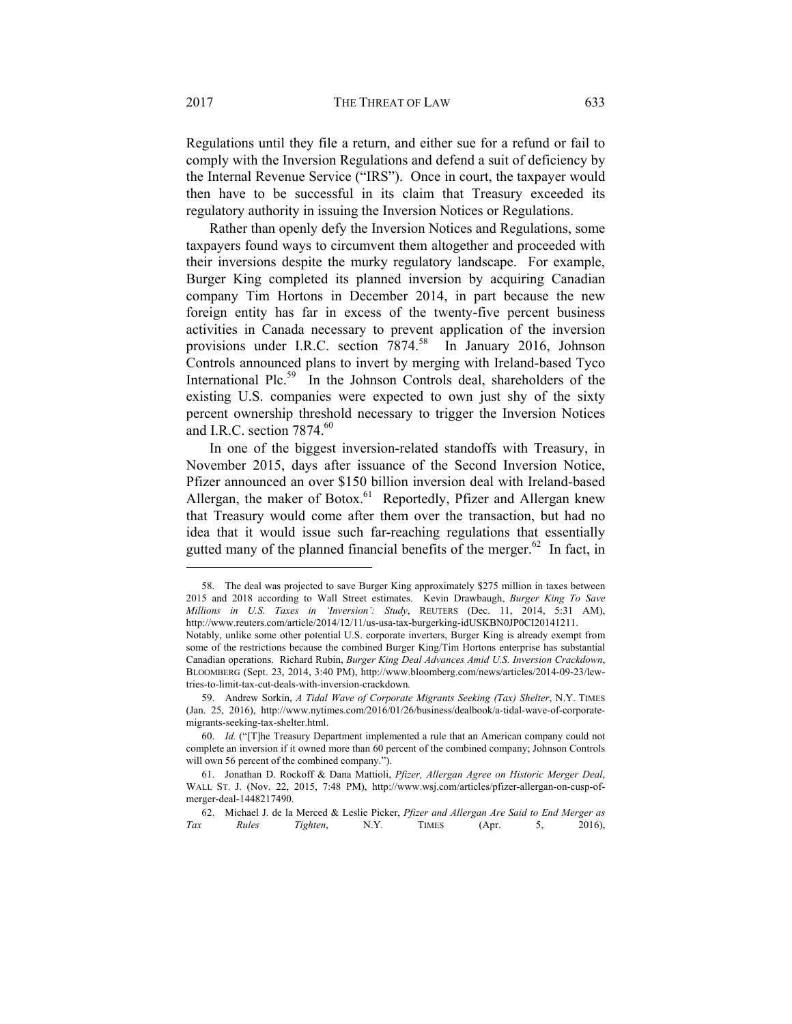Regulations until they file a return, and either sue for a refund or fail to comply with the Inversion Regulations and defend a suit of deficiency by the Internal Revenue Service ("IRS"). Once in court, the taxpayer would then have to be successful in its claim that Treasury exceeded its regulatory authority in issuing the Inversion Notices or Regulations.

Rather than openly defy the Inversion Notices and Regulations, some taxpayers found ways to circumvent them altogether and proceeded with their inversions despite the murky regulatory landscape. For example, Burger King completed its planned inversion by acquiring Canadian company Tim Hortons in December 2014, in part because the new foreign entity has far in excess of the twenty-five percent business activities in Canada necessary to prevent application of the inversion provisions under I.R.C. section 7874.<sup>58</sup> In January 2016, Johnson Controls announced plans to invert by merging with Ireland-based Tyco International Plc.<sup>59</sup> In the Johnson Controls deal, shareholders of the existing U.S. companies were expected to own just shy of the sixty percent ownership threshold necessary to trigger the Inversion Notices and I.R.C. section  $7874.^{60}$ 

In one of the biggest inversion-related standoffs with Treasury, in November 2015, days after issuance of the Second Inversion Notice, Pfizer announced an over \$150 billion inversion deal with Ireland-based Allergan, the maker of Botox.<sup>61</sup> Reportedly, Pfizer and Allergan knew that Treasury would come after them over the transaction, but had no idea that it would issue such far-reaching regulations that essentially gutted many of the planned financial benefits of the merger.<sup>62</sup> In fact, in

 <sup>58.</sup> The deal was projected to save Burger King approximately \$275 million in taxes between 2015 and 2018 according to Wall Street estimates. Kevin Drawbaugh, *Burger King To Save Millions in U.S. Taxes in 'Inversion': Study*, REUTERS (Dec. 11, 2014, 5:31 AM), http://www.reuters.com/article/2014/12/11/us-usa-tax-burgerking-idUSKBN0JP0CI20141211.

Notably, unlike some other potential U.S. corporate inverters, Burger King is already exempt from some of the restrictions because the combined Burger King/Tim Hortons enterprise has substantial Canadian operations. Richard Rubin, *Burger King Deal Advances Amid U.S. Inversion Crackdown*, BLOOMBERG (Sept. 23, 2014, 3:40 PM), http://www.bloomberg.com/news/articles/2014-09-23/lewtries-to-limit-tax-cut-deals-with-inversion-crackdown*.*

 <sup>59.</sup> Andrew Sorkin, *A Tidal Wave of Corporate Migrants Seeking (Tax) Shelter*, N.Y. TIMES (Jan. 25, 2016), http://www.nytimes.com/2016/01/26/business/dealbook/a-tidal-wave-of-corporatemigrants-seeking-tax-shelter.html.

 <sup>60.</sup> *Id.* ("[T]he Treasury Department implemented a rule that an American company could not complete an inversion if it owned more than 60 percent of the combined company; Johnson Controls will own 56 percent of the combined company.").

 <sup>61.</sup> Jonathan D. Rockoff & Dana Mattioli, *Pfizer, Allergan Agree on Historic Merger Deal*, WALL ST. J. (Nov. 22, 2015, 7:48 PM), http://www.wsj.com/articles/pfizer-allergan-on-cusp-ofmerger-deal-1448217490.

 <sup>62.</sup> Michael J. de la Merced & Leslie Picker, *Pfizer and Allergan Are Said to End Merger as Tax Rules Tighten*, N.Y. TIMES (Apr. 5, 2016),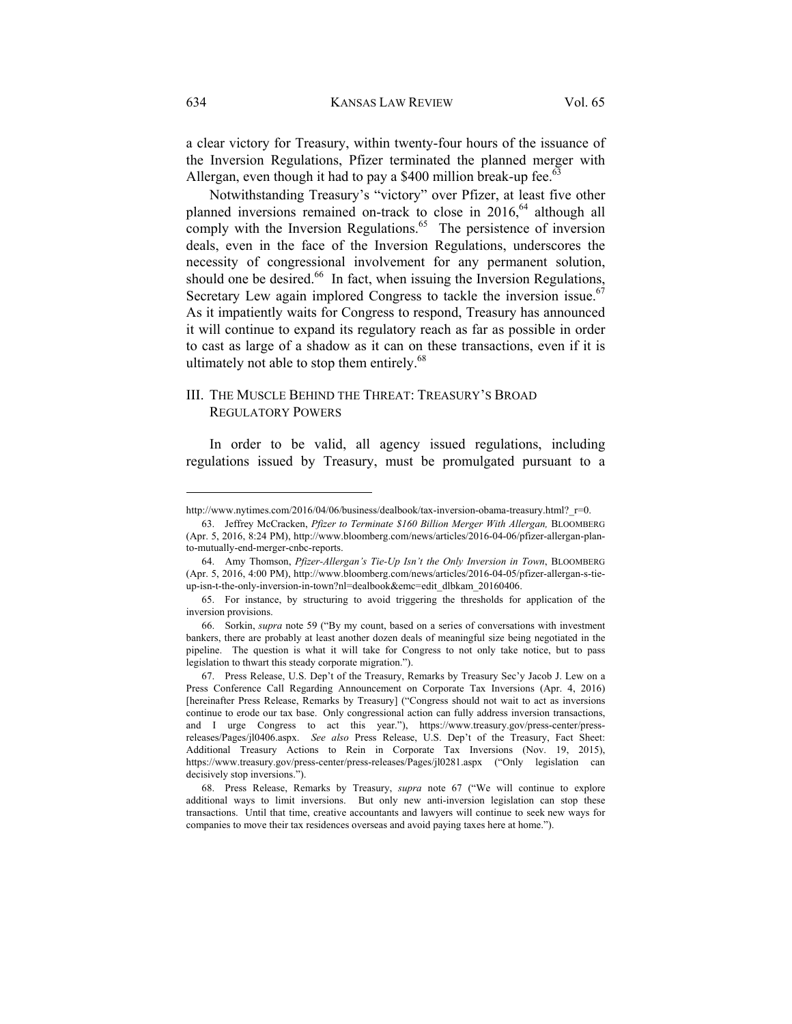a clear victory for Treasury, within twenty-four hours of the issuance of the Inversion Regulations, Pfizer terminated the planned merger with Allergan, even though it had to pay a \$400 million break-up fee.<sup>63</sup>

Notwithstanding Treasury's "victory" over Pfizer, at least five other planned inversions remained on-track to close in 2016,<sup>64</sup> although all comply with the Inversion Regulations. $65$  The persistence of inversion deals, even in the face of the Inversion Regulations, underscores the necessity of congressional involvement for any permanent solution, should one be desired. $66$  In fact, when issuing the Inversion Regulations, Secretary Lew again implored Congress to tackle the inversion issue.<sup>67</sup> As it impatiently waits for Congress to respond, Treasury has announced it will continue to expand its regulatory reach as far as possible in order to cast as large of a shadow as it can on these transactions, even if it is ultimately not able to stop them entirely.<sup>68</sup>

# III. THE MUSCLE BEHIND THE THREAT: TREASURY'S BROAD REGULATORY POWERS

In order to be valid, all agency issued regulations, including regulations issued by Treasury, must be promulgated pursuant to a

http://www.nytimes.com/2016/04/06/business/dealbook/tax-inversion-obama-treasury.html?\_r=0.

 <sup>63.</sup> Jeffrey McCracken, *Pfizer to Terminate \$160 Billion Merger With Allergan,* BLOOMBERG (Apr. 5, 2016, 8:24 PM), http://www.bloomberg.com/news/articles/2016-04-06/pfizer-allergan-planto-mutually-end-merger-cnbc-reports.

 <sup>64.</sup> Amy Thomson, *Pfizer-Allergan's Tie-Up Isn't the Only Inversion in Town*, BLOOMBERG (Apr. 5, 2016, 4:00 PM), http://www.bloomberg.com/news/articles/2016-04-05/pfizer-allergan-s-tieup-isn-t-the-only-inversion-in-town?nl=dealbook&emc=edit\_dlbkam\_20160406.

 <sup>65.</sup> For instance, by structuring to avoid triggering the thresholds for application of the inversion provisions.

 <sup>66.</sup> Sorkin, *supra* note 59 ("By my count, based on a series of conversations with investment bankers, there are probably at least another dozen deals of meaningful size being negotiated in the pipeline. The question is what it will take for Congress to not only take notice, but to pass legislation to thwart this steady corporate migration.").

 <sup>67.</sup> Press Release, U.S. Dep't of the Treasury, Remarks by Treasury Sec'y Jacob J. Lew on a Press Conference Call Regarding Announcement on Corporate Tax Inversions (Apr. 4, 2016) [hereinafter Press Release, Remarks by Treasury] ("Congress should not wait to act as inversions continue to erode our tax base. Only congressional action can fully address inversion transactions, and I urge Congress to act this year."), https://www.treasury.gov/press-center/pressreleases/Pages/jl0406.aspx. *See also* Press Release, U.S. Dep't of the Treasury, Fact Sheet: Additional Treasury Actions to Rein in Corporate Tax Inversions (Nov. 19, 2015), https://www.treasury.gov/press-center/press-releases/Pages/jl0281.aspx ("Only legislation can decisively stop inversions.").

 <sup>68.</sup> Press Release, Remarks by Treasury, *supra* note 67 ("We will continue to explore additional ways to limit inversions. But only new anti-inversion legislation can stop these transactions. Until that time, creative accountants and lawyers will continue to seek new ways for companies to move their tax residences overseas and avoid paying taxes here at home.").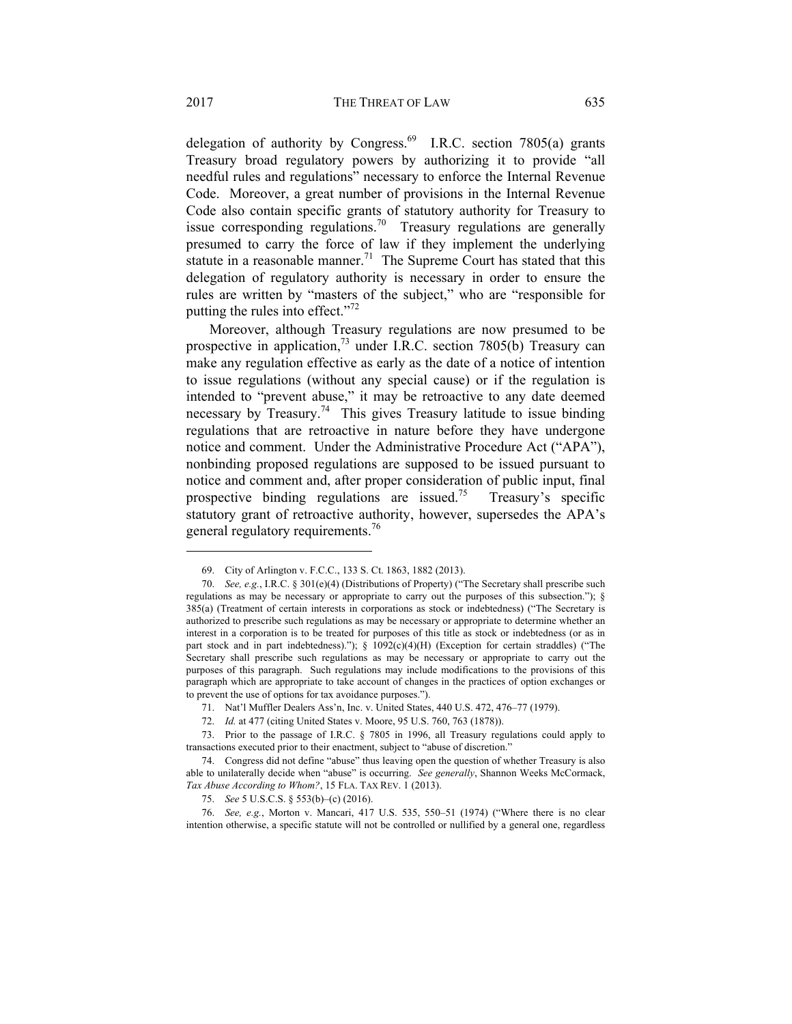delegation of authority by Congress.<sup>69</sup> I.R.C. section 7805(a) grants Treasury broad regulatory powers by authorizing it to provide "all needful rules and regulations" necessary to enforce the Internal Revenue Code. Moreover, a great number of provisions in the Internal Revenue Code also contain specific grants of statutory authority for Treasury to issue corresponding regulations.<sup>70</sup> Treasury regulations are generally presumed to carry the force of law if they implement the underlying statute in a reasonable manner.<sup>71</sup> The Supreme Court has stated that this delegation of regulatory authority is necessary in order to ensure the rules are written by "masters of the subject," who are "responsible for putting the rules into effect." $72$ 

Moreover, although Treasury regulations are now presumed to be prospective in application,<sup>73</sup> under I.R.C. section 7805(b) Treasury can make any regulation effective as early as the date of a notice of intention to issue regulations (without any special cause) or if the regulation is intended to "prevent abuse," it may be retroactive to any date deemed necessary by Treasury.<sup>74</sup> This gives Treasury latitude to issue binding regulations that are retroactive in nature before they have undergone notice and comment. Under the Administrative Procedure Act ("APA"), nonbinding proposed regulations are supposed to be issued pursuant to notice and comment and, after proper consideration of public input, final prospective binding regulations are issued.<sup>75</sup> Treasury's specific statutory grant of retroactive authority, however, supersedes the APA's general regulatory requirements.<sup>76</sup>

 <sup>69.</sup> City of Arlington v. F.C.C., 133 S. Ct. 1863, 1882 (2013).

 <sup>70.</sup> *See, e.g.*, I.R.C. § 301(e)(4) (Distributions of Property) ("The Secretary shall prescribe such regulations as may be necessary or appropriate to carry out the purposes of this subsection."); § 385(a) (Treatment of certain interests in corporations as stock or indebtedness) ("The Secretary is authorized to prescribe such regulations as may be necessary or appropriate to determine whether an interest in a corporation is to be treated for purposes of this title as stock or indebtedness (or as in part stock and in part indebtedness).");  $\S$  1092(c)(4)(H) (Exception for certain straddles) ("The Secretary shall prescribe such regulations as may be necessary or appropriate to carry out the purposes of this paragraph. Such regulations may include modifications to the provisions of this paragraph which are appropriate to take account of changes in the practices of option exchanges or to prevent the use of options for tax avoidance purposes.").

 <sup>71.</sup> Nat'l Muffler Dealers Ass'n, Inc. v. United States, 440 U.S. 472, 476–77 (1979).

 <sup>72.</sup> *Id.* at 477 (citing United States v. Moore, 95 U.S. 760, 763 (1878)).

 <sup>73.</sup> Prior to the passage of I.R.C. § 7805 in 1996, all Treasury regulations could apply to transactions executed prior to their enactment, subject to "abuse of discretion."

 <sup>74.</sup> Congress did not define "abuse" thus leaving open the question of whether Treasury is also able to unilaterally decide when "abuse" is occurring. *See generally*, Shannon Weeks McCormack, *Tax Abuse According to Whom?*, 15 FLA. TAX REV. 1 (2013).

 <sup>75.</sup> *See* 5 U.S.C.S. § 553(b)–(c) (2016).

 <sup>76.</sup> *See, e.g.*, Morton v. Mancari, 417 U.S. 535, 550–51 (1974) ("Where there is no clear intention otherwise, a specific statute will not be controlled or nullified by a general one, regardless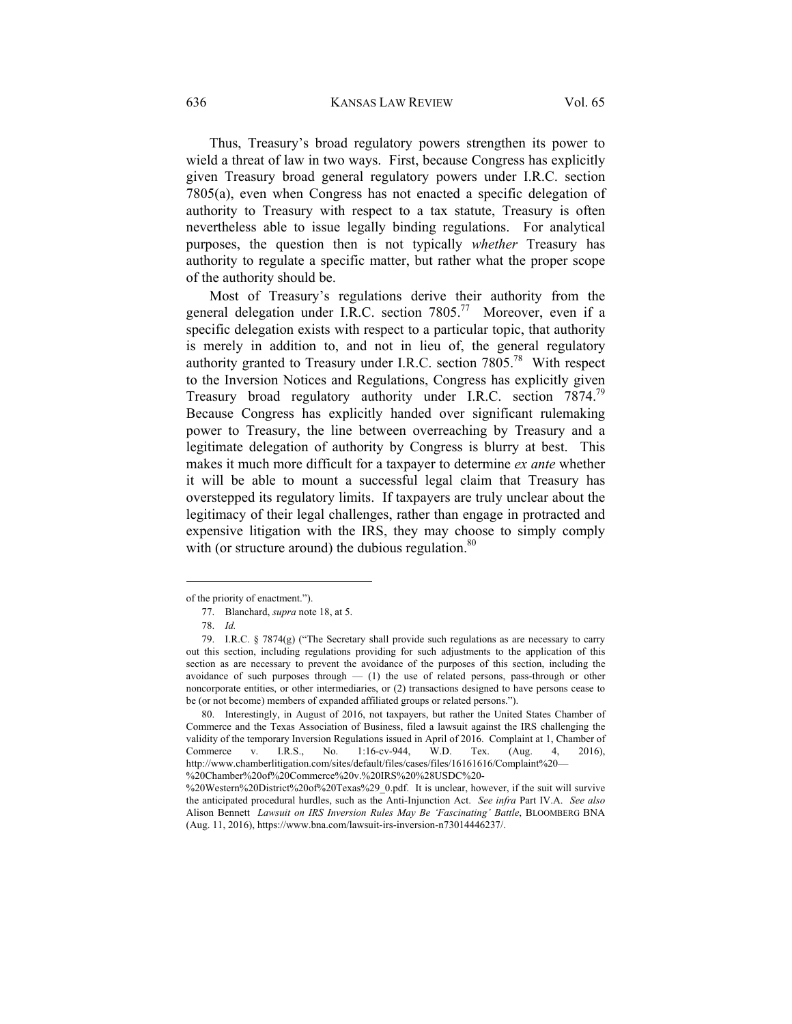636 KANSAS LAW REVIEW Vol. 65

Thus, Treasury's broad regulatory powers strengthen its power to wield a threat of law in two ways. First, because Congress has explicitly given Treasury broad general regulatory powers under I.R.C. section 7805(a), even when Congress has not enacted a specific delegation of authority to Treasury with respect to a tax statute, Treasury is often nevertheless able to issue legally binding regulations. For analytical purposes, the question then is not typically *whether* Treasury has authority to regulate a specific matter, but rather what the proper scope of the authority should be.

Most of Treasury's regulations derive their authority from the general delegation under I.R.C. section 7805.<sup>77</sup> Moreover, even if a specific delegation exists with respect to a particular topic, that authority is merely in addition to, and not in lieu of, the general regulatory authority granted to Treasury under I.R.C. section 7805.78 With respect to the Inversion Notices and Regulations, Congress has explicitly given Treasury broad regulatory authority under I.R.C. section 7874.<sup>79</sup> Because Congress has explicitly handed over significant rulemaking power to Treasury, the line between overreaching by Treasury and a legitimate delegation of authority by Congress is blurry at best. This makes it much more difficult for a taxpayer to determine *ex ante* whether it will be able to mount a successful legal claim that Treasury has overstepped its regulatory limits. If taxpayers are truly unclear about the legitimacy of their legal challenges, rather than engage in protracted and expensive litigation with the IRS, they may choose to simply comply with (or structure around) the dubious regulation. $80$ 

of the priority of enactment.").

 <sup>77.</sup> Blanchard, *supra* note 18, at 5.

 <sup>78.</sup> *Id.*

 <sup>79.</sup> I.R.C. § 7874(g) ("The Secretary shall provide such regulations as are necessary to carry out this section, including regulations providing for such adjustments to the application of this section as are necessary to prevent the avoidance of the purposes of this section, including the avoidance of such purposes through — (1) the use of related persons, pass-through or other noncorporate entities, or other intermediaries, or (2) transactions designed to have persons cease to be (or not become) members of expanded affiliated groups or related persons.").

 <sup>80.</sup> Interestingly, in August of 2016, not taxpayers, but rather the United States Chamber of Commerce and the Texas Association of Business, filed a lawsuit against the IRS challenging the validity of the temporary Inversion Regulations issued in April of 2016. Complaint at 1, Chamber of Commerce v. I.R.S., No. 1:16-cv-944, W.D. Tex. (Aug. 4, 2016), http://www.chamberlitigation.com/sites/default/files/cases/files/16161616/Complaint%20— %20Chamber%20of%20Commerce%20v.%20IRS%20%28USDC%20-

<sup>%20</sup>Western%20District%20of%20Texas%29\_0.pdf. It is unclear, however, if the suit will survive the anticipated procedural hurdles, such as the Anti-Injunction Act. *See infra* Part IV.A. *See also* Alison Bennett *Lawsuit on IRS Inversion Rules May Be 'Fascinating' Battle*, BLOOMBERG BNA (Aug. 11, 2016), https://www.bna.com/lawsuit-irs-inversion-n73014446237/.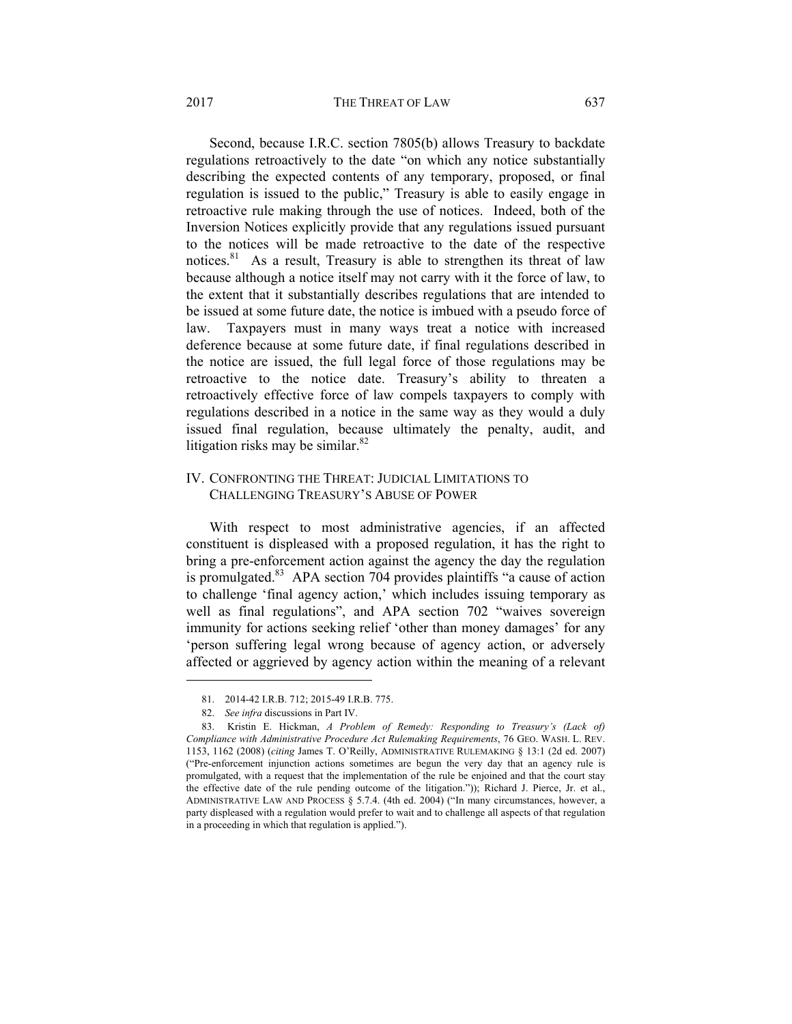#### 2017 **THE THREAT OF LAW** 637

Second, because I.R.C. section 7805(b) allows Treasury to backdate regulations retroactively to the date "on which any notice substantially describing the expected contents of any temporary, proposed, or final regulation is issued to the public," Treasury is able to easily engage in retroactive rule making through the use of notices. Indeed, both of the Inversion Notices explicitly provide that any regulations issued pursuant to the notices will be made retroactive to the date of the respective notices.<sup>81</sup> As a result, Treasury is able to strengthen its threat of law because although a notice itself may not carry with it the force of law, to the extent that it substantially describes regulations that are intended to be issued at some future date, the notice is imbued with a pseudo force of law. Taxpayers must in many ways treat a notice with increased deference because at some future date, if final regulations described in the notice are issued, the full legal force of those regulations may be retroactive to the notice date. Treasury's ability to threaten a retroactively effective force of law compels taxpayers to comply with regulations described in a notice in the same way as they would a duly issued final regulation, because ultimately the penalty, audit, and litigation risks may be similar. $82$ 

# IV. CONFRONTING THE THREAT: JUDICIAL LIMITATIONS TO CHALLENGING TREASURY'S ABUSE OF POWER

With respect to most administrative agencies, if an affected constituent is displeased with a proposed regulation, it has the right to bring a pre-enforcement action against the agency the day the regulation is promulgated. $83$  APA section 704 provides plaintiffs "a cause of action to challenge 'final agency action,' which includes issuing temporary as well as final regulations", and APA section 702 "waives sovereign immunity for actions seeking relief 'other than money damages' for any 'person suffering legal wrong because of agency action, or adversely affected or aggrieved by agency action within the meaning of a relevant

 <sup>81. 2014-42</sup> I.R.B. 712; 2015-49 I.R.B. 775.

 <sup>82.</sup> *See infra* discussions in Part IV.

 <sup>83.</sup> Kristin E. Hickman, *A Problem of Remedy: Responding to Treasury's (Lack of) Compliance with Administrative Procedure Act Rulemaking Requirements*, 76 GEO. WASH. L. REV. 1153, 1162 (2008) (*citing* James T. O'Reilly, ADMINISTRATIVE RULEMAKING § 13:1 (2d ed. 2007) ("Pre-enforcement injunction actions sometimes are begun the very day that an agency rule is promulgated, with a request that the implementation of the rule be enjoined and that the court stay the effective date of the rule pending outcome of the litigation.")); Richard J. Pierce, Jr. et al., ADMINISTRATIVE LAW AND PROCESS § 5.7.4. (4th ed. 2004) ("In many circumstances, however, a party displeased with a regulation would prefer to wait and to challenge all aspects of that regulation in a proceeding in which that regulation is applied.").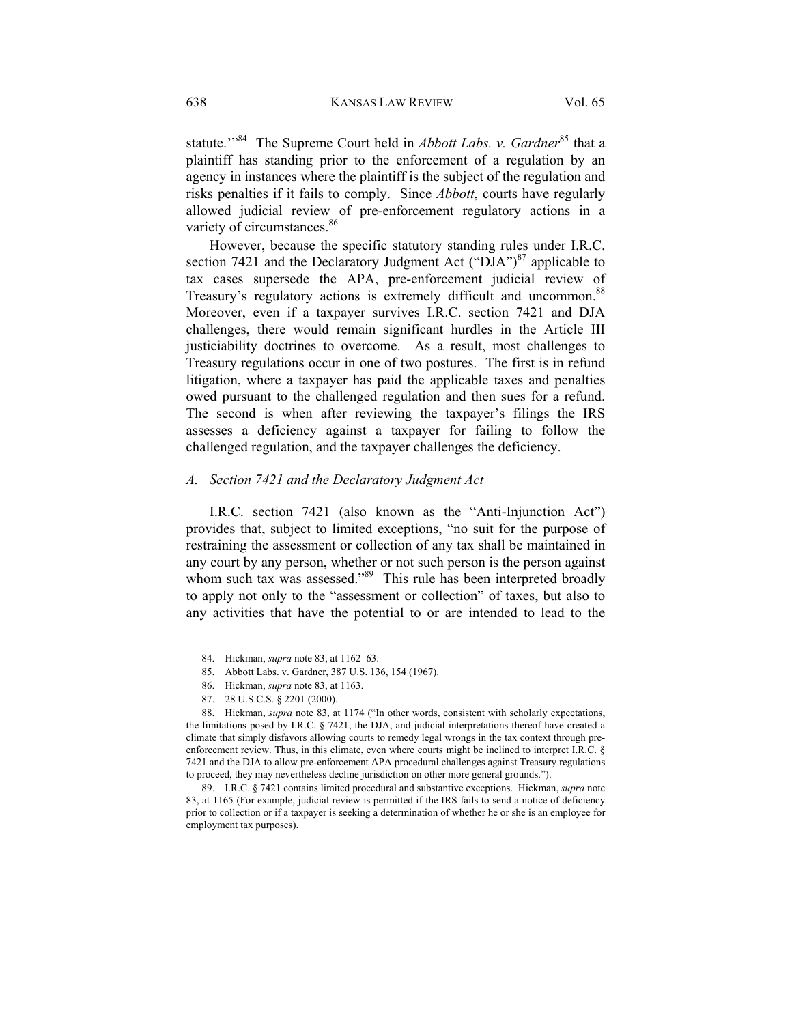statute.<sup>"84</sup> The Supreme Court held in *Abbott Labs. v. Gardner*<sup>85</sup> that a plaintiff has standing prior to the enforcement of a regulation by an agency in instances where the plaintiff is the subject of the regulation and risks penalties if it fails to comply. Since *Abbott*, courts have regularly allowed judicial review of pre-enforcement regulatory actions in a variety of circumstances.<sup>86</sup>

However, because the specific statutory standing rules under I.R.C. section 7421 and the Declaratory Judgment Act ("DJA") $87$  applicable to tax cases supersede the APA, pre-enforcement judicial review of Treasury's regulatory actions is extremely difficult and uncommon.<sup>88</sup> Moreover, even if a taxpayer survives I.R.C. section 7421 and DJA challenges, there would remain significant hurdles in the Article III justiciability doctrines to overcome. As a result, most challenges to Treasury regulations occur in one of two postures. The first is in refund litigation, where a taxpayer has paid the applicable taxes and penalties owed pursuant to the challenged regulation and then sues for a refund. The second is when after reviewing the taxpayer's filings the IRS assesses a deficiency against a taxpayer for failing to follow the challenged regulation, and the taxpayer challenges the deficiency.

### *A. Section 7421 and the Declaratory Judgment Act*

I.R.C. section 7421 (also known as the "Anti-Injunction Act") provides that, subject to limited exceptions, "no suit for the purpose of restraining the assessment or collection of any tax shall be maintained in any court by any person, whether or not such person is the person against whom such tax was assessed."<sup>89</sup> This rule has been interpreted broadly to apply not only to the "assessment or collection" of taxes, but also to any activities that have the potential to or are intended to lead to the

 <sup>84.</sup> Hickman, *supra* note 83, at 1162–63.

 <sup>85.</sup> Abbott Labs. v. Gardner, 387 U.S. 136, 154 (1967).

 <sup>86.</sup> Hickman, *supra* note 83, at 1163.

 <sup>87. 28</sup> U.S.C.S. § 2201 (2000).

 <sup>88.</sup> Hickman, *supra* note 83, at 1174 ("In other words, consistent with scholarly expectations, the limitations posed by I.R.C. § 7421, the DJA, and judicial interpretations thereof have created a climate that simply disfavors allowing courts to remedy legal wrongs in the tax context through preenforcement review. Thus, in this climate, even where courts might be inclined to interpret I.R.C. § 7421 and the DJA to allow pre-enforcement APA procedural challenges against Treasury regulations to proceed, they may nevertheless decline jurisdiction on other more general grounds.").

 <sup>89.</sup> I.R.C. § 7421 contains limited procedural and substantive exceptions. Hickman, *supra* note 83, at 1165 (For example, judicial review is permitted if the IRS fails to send a notice of deficiency prior to collection or if a taxpayer is seeking a determination of whether he or she is an employee for employment tax purposes).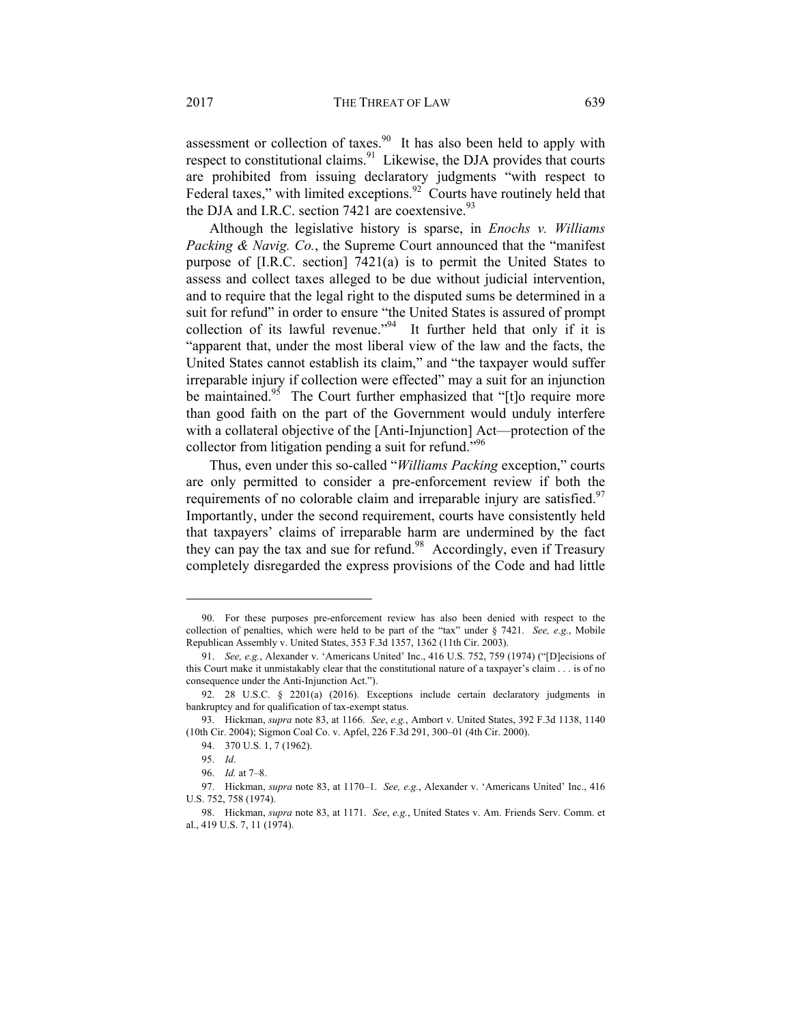assessment or collection of taxes.<sup>90</sup> It has also been held to apply with respect to constitutional claims. $91$  Likewise, the DJA provides that courts are prohibited from issuing declaratory judgments "with respect to Federal taxes," with limited exceptions. $92$  Courts have routinely held that the DJA and I.R.C. section 7421 are coextensive. $93$ 

Although the legislative history is sparse, in *Enochs v. Williams Packing & Navig. Co.*, the Supreme Court announced that the "manifest purpose of [I.R.C. section] 7421(a) is to permit the United States to assess and collect taxes alleged to be due without judicial intervention, and to require that the legal right to the disputed sums be determined in a suit for refund" in order to ensure "the United States is assured of prompt collection of its lawful revenue."<sup>94</sup> It further held that only if it is "apparent that, under the most liberal view of the law and the facts, the United States cannot establish its claim," and "the taxpayer would suffer irreparable injury if collection were effected" may a suit for an injunction be maintained.<sup>95</sup> The Court further emphasized that "[t]o require more than good faith on the part of the Government would unduly interfere with a collateral objective of the [Anti-Injunction] Act—protection of the collector from litigation pending a suit for refund."<sup>96</sup>

Thus, even under this so-called "*Williams Packing* exception," courts are only permitted to consider a pre-enforcement review if both the requirements of no colorable claim and irreparable injury are satisfied.<sup>97</sup> Importantly, under the second requirement, courts have consistently held that taxpayers' claims of irreparable harm are undermined by the fact they can pay the tax and sue for refund.<sup>98</sup> Accordingly, even if Treasury completely disregarded the express provisions of the Code and had little

 <sup>90.</sup> For these purposes pre-enforcement review has also been denied with respect to the collection of penalties, which were held to be part of the "tax" under § 7421. *See, e.g.*, Mobile Republican Assembly v. United States, 353 F.3d 1357, 1362 (11th Cir. 2003).

 <sup>91.</sup> *See, e.g.*, Alexander v. 'Americans United' Inc., 416 U.S. 752, 759 (1974) ("[D]ecisions of this Court make it unmistakably clear that the constitutional nature of a taxpayer's claim . . . is of no consequence under the Anti-Injunction Act.").

 <sup>92. 28</sup> U.S.C. § 2201(a) (2016). Exceptions include certain declaratory judgments in bankruptcy and for qualification of tax-exempt status.

 <sup>93.</sup> Hickman, *supra* note 83, at 1166. *See*, *e.g.*, Ambort v. United States, 392 F.3d 1138, 1140 (10th Cir. 2004); Sigmon Coal Co. v. Apfel, 226 F.3d 291, 300–01 (4th Cir. 2000).

 <sup>94. 370</sup> U.S. 1, 7 (1962).

 <sup>95.</sup> *Id*.

 <sup>96.</sup> *Id.* at 7–8.

 <sup>97.</sup> Hickman, *supra* note 83, at 1170–1. *See, e.g.*, Alexander v. 'Americans United' Inc., 416 U.S. 752, 758 (1974).

 <sup>98.</sup> Hickman, *supra* note 83, at 1171. *See*, *e.g.*, United States v. Am. Friends Serv. Comm. et al., 419 U.S. 7, 11 (1974).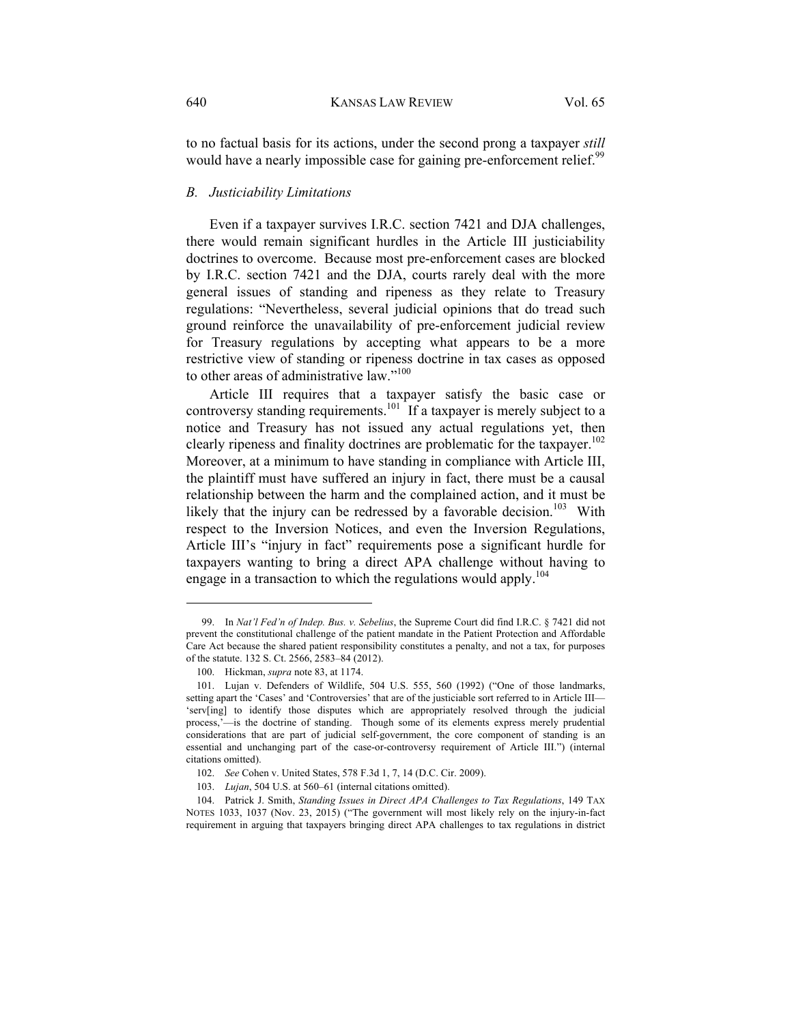to no factual basis for its actions, under the second prong a taxpayer *still* would have a nearly impossible case for gaining pre-enforcement relief.<sup>99</sup>

#### *B. Justiciability Limitations*

Even if a taxpayer survives I.R.C. section 7421 and DJA challenges, there would remain significant hurdles in the Article III justiciability doctrines to overcome. Because most pre-enforcement cases are blocked by I.R.C. section 7421 and the DJA, courts rarely deal with the more general issues of standing and ripeness as they relate to Treasury regulations: "Nevertheless, several judicial opinions that do tread such ground reinforce the unavailability of pre-enforcement judicial review for Treasury regulations by accepting what appears to be a more restrictive view of standing or ripeness doctrine in tax cases as opposed to other areas of administrative law."<sup>100</sup>

Article III requires that a taxpayer satisfy the basic case or controversy standing requirements.<sup>101</sup> If a taxpayer is merely subject to a notice and Treasury has not issued any actual regulations yet, then clearly ripeness and finality doctrines are problematic for the taxpayer.<sup>102</sup> Moreover, at a minimum to have standing in compliance with Article III, the plaintiff must have suffered an injury in fact, there must be a causal relationship between the harm and the complained action, and it must be likely that the injury can be redressed by a favorable decision.<sup>103</sup> With respect to the Inversion Notices, and even the Inversion Regulations, Article III's "injury in fact" requirements pose a significant hurdle for taxpayers wanting to bring a direct APA challenge without having to engage in a transaction to which the regulations would apply.<sup>104</sup>

 <sup>99.</sup> In *Nat'l Fed'n of Indep. Bus. v. Sebelius*, the Supreme Court did find I.R.C. § 7421 did not prevent the constitutional challenge of the patient mandate in the Patient Protection and Affordable Care Act because the shared patient responsibility constitutes a penalty, and not a tax, for purposes of the statute. 132 S. Ct. 2566, 2583–84 (2012).

 <sup>100.</sup> Hickman, *supra* note 83, at 1174.

 <sup>101.</sup> Lujan v. Defenders of Wildlife, 504 U.S. 555, 560 (1992) ("One of those landmarks, setting apart the 'Cases' and 'Controversies' that are of the justiciable sort referred to in Article III— 'serv[ing] to identify those disputes which are appropriately resolved through the judicial process,'—is the doctrine of standing. Though some of its elements express merely prudential considerations that are part of judicial self-government, the core component of standing is an essential and unchanging part of the case-or-controversy requirement of Article III.") (internal citations omitted).

 <sup>102.</sup> *See* Cohen v. United States, 578 F.3d 1, 7, 14 (D.C. Cir. 2009).

 <sup>103.</sup> *Lujan*, 504 U.S. at 560–61 (internal citations omitted).

 <sup>104.</sup> Patrick J. Smith, *Standing Issues in Direct APA Challenges to Tax Regulations*, 149 TAX NOTES 1033, 1037 (Nov. 23, 2015) ("The government will most likely rely on the injury-in-fact requirement in arguing that taxpayers bringing direct APA challenges to tax regulations in district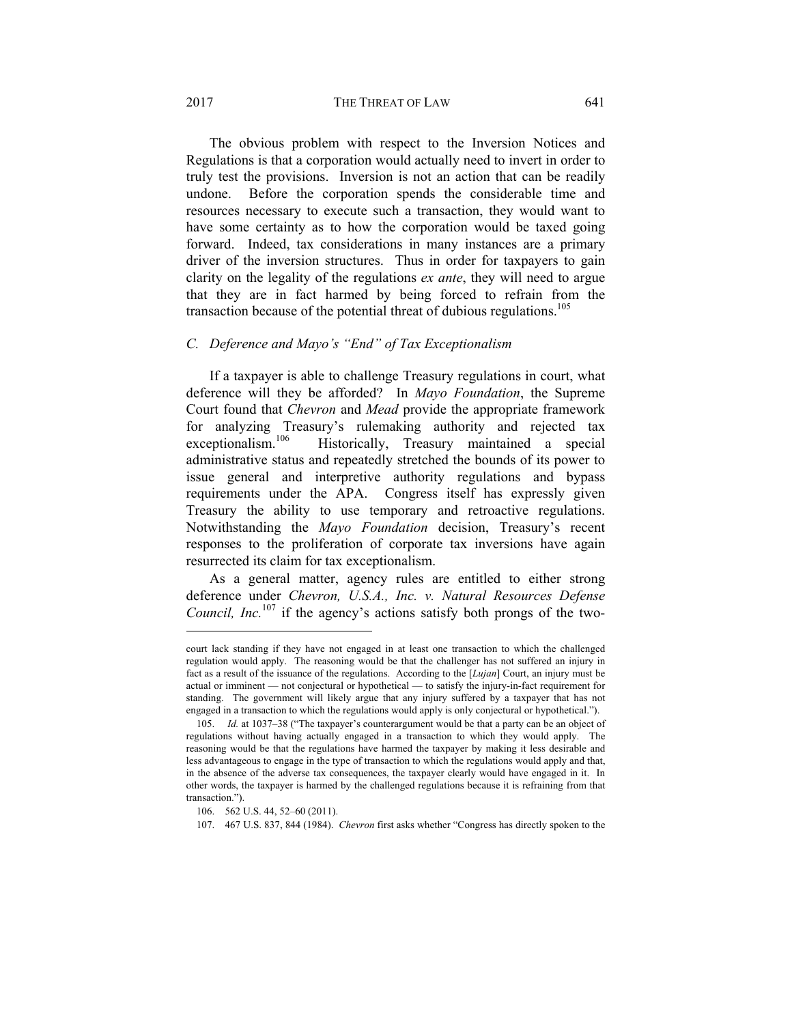#### 2017 **THE THREAT OF LAW** 641

The obvious problem with respect to the Inversion Notices and Regulations is that a corporation would actually need to invert in order to truly test the provisions. Inversion is not an action that can be readily undone. Before the corporation spends the considerable time and resources necessary to execute such a transaction, they would want to have some certainty as to how the corporation would be taxed going forward. Indeed, tax considerations in many instances are a primary driver of the inversion structures. Thus in order for taxpayers to gain clarity on the legality of the regulations *ex ante*, they will need to argue that they are in fact harmed by being forced to refrain from the transaction because of the potential threat of dubious regulations.<sup>105</sup>

# *C. Deference and Mayo's "End" of Tax Exceptionalism*

If a taxpayer is able to challenge Treasury regulations in court, what deference will they be afforded? In *Mayo Foundation*, the Supreme Court found that *Chevron* and *Mead* provide the appropriate framework for analyzing Treasury's rulemaking authority and rejected tax<br>exceptionalism.<sup>106</sup> Historically. Treasury maintained a special Historically, Treasury maintained a special administrative status and repeatedly stretched the bounds of its power to issue general and interpretive authority regulations and bypass requirements under the APA. Congress itself has expressly given Treasury the ability to use temporary and retroactive regulations. Notwithstanding the *Mayo Foundation* decision, Treasury's recent responses to the proliferation of corporate tax inversions have again resurrected its claim for tax exceptionalism.

As a general matter, agency rules are entitled to either strong deference under *Chevron, U.S.A., Inc. v. Natural Resources Defense Council, Inc.*<sup>107</sup> if the agency's actions satisfy both prongs of the two-

court lack standing if they have not engaged in at least one transaction to which the challenged regulation would apply. The reasoning would be that the challenger has not suffered an injury in fact as a result of the issuance of the regulations. According to the [*Lujan*] Court, an injury must be actual or imminent — not conjectural or hypothetical — to satisfy the injury-in-fact requirement for standing. The government will likely argue that any injury suffered by a taxpayer that has not engaged in a transaction to which the regulations would apply is only conjectural or hypothetical.").

 <sup>105.</sup> *Id.* at 1037–38 ("The taxpayer's counterargument would be that a party can be an object of regulations without having actually engaged in a transaction to which they would apply. The reasoning would be that the regulations have harmed the taxpayer by making it less desirable and less advantageous to engage in the type of transaction to which the regulations would apply and that, in the absence of the adverse tax consequences, the taxpayer clearly would have engaged in it. In other words, the taxpayer is harmed by the challenged regulations because it is refraining from that transaction.").

 <sup>106. 562</sup> U.S. 44, 52–60 (2011).

 <sup>107. 467</sup> U.S. 837, 844 (1984). *Chevron* first asks whether "Congress has directly spoken to the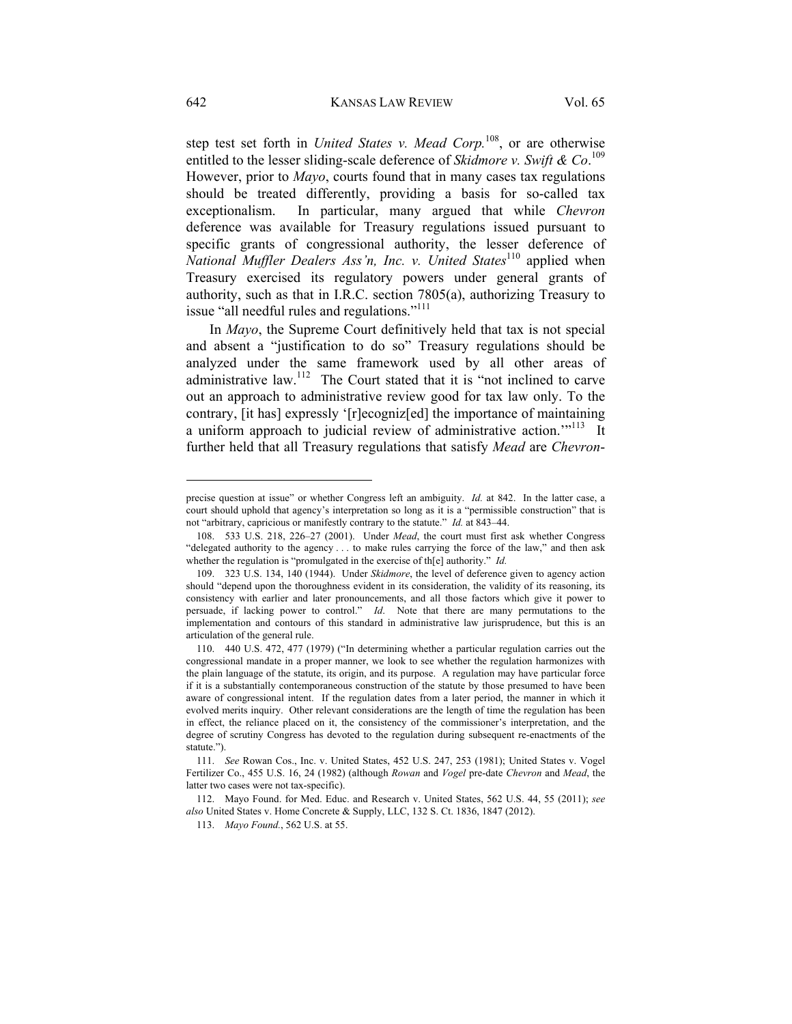step test set forth in *United States v. Mead Corp.*108, or are otherwise entitled to the lesser sliding-scale deference of *Skidmore v. Swift & Co*. 109 However, prior to *Mayo*, courts found that in many cases tax regulations should be treated differently, providing a basis for so-called tax exceptionalism. In particular, many argued that while *Chevron*  deference was available for Treasury regulations issued pursuant to specific grants of congressional authority, the lesser deference of *National Muffler Dealers Ass'n, Inc. v. United States*<sup>110</sup> applied when Treasury exercised its regulatory powers under general grants of authority, such as that in I.R.C. section 7805(a), authorizing Treasury to issue "all needful rules and regulations."<sup>111</sup>

In *Mayo*, the Supreme Court definitively held that tax is not special and absent a "justification to do so" Treasury regulations should be analyzed under the same framework used by all other areas of administrative law.<sup>112</sup> The Court stated that it is "not inclined to carve out an approach to administrative review good for tax law only. To the contrary, [it has] expressly '[r]ecogniz[ed] the importance of maintaining a uniform approach to judicial review of administrative action.<sup>"113</sup> It further held that all Treasury regulations that satisfy *Mead* are *Chevron*-

precise question at issue" or whether Congress left an ambiguity. *Id.* at 842. In the latter case, a court should uphold that agency's interpretation so long as it is a "permissible construction" that is not "arbitrary, capricious or manifestly contrary to the statute." *Id.* at 843–44.

 <sup>108. 533</sup> U.S. 218, 226–27 (2001). Under *Mead*, the court must first ask whether Congress "delegated authority to the agency . . . to make rules carrying the force of the law," and then ask whether the regulation is "promulgated in the exercise of th[e] authority." *Id.*

 <sup>109. 323</sup> U.S. 134, 140 (1944). Under *Skidmore*, the level of deference given to agency action should "depend upon the thoroughness evident in its consideration, the validity of its reasoning, its consistency with earlier and later pronouncements, and all those factors which give it power to persuade, if lacking power to control." *Id*. Note that there are many permutations to the implementation and contours of this standard in administrative law jurisprudence, but this is an articulation of the general rule.

 <sup>110. 440</sup> U.S. 472, 477 (1979) ("In determining whether a particular regulation carries out the congressional mandate in a proper manner, we look to see whether the regulation harmonizes with the plain language of the statute, its origin, and its purpose. A regulation may have particular force if it is a substantially contemporaneous construction of the statute by those presumed to have been aware of congressional intent. If the regulation dates from a later period, the manner in which it evolved merits inquiry. Other relevant considerations are the length of time the regulation has been in effect, the reliance placed on it, the consistency of the commissioner's interpretation, and the degree of scrutiny Congress has devoted to the regulation during subsequent re-enactments of the statute.").

 <sup>111.</sup> *See* Rowan Cos., Inc. v. United States, 452 U.S. 247, 253 (1981); United States v. Vogel Fertilizer Co., 455 U.S. 16, 24 (1982) (although *Rowan* and *Vogel* pre-date *Chevron* and *Mead*, the latter two cases were not tax-specific).

 <sup>112.</sup> Mayo Found. for Med. Educ. and Research v. United States, 562 U.S. 44, 55 (2011); *see also* United States v. Home Concrete & Supply, LLC, 132 S. Ct. 1836, 1847 (2012).

 <sup>113.</sup> *Mayo Found.*, 562 U.S. at 55.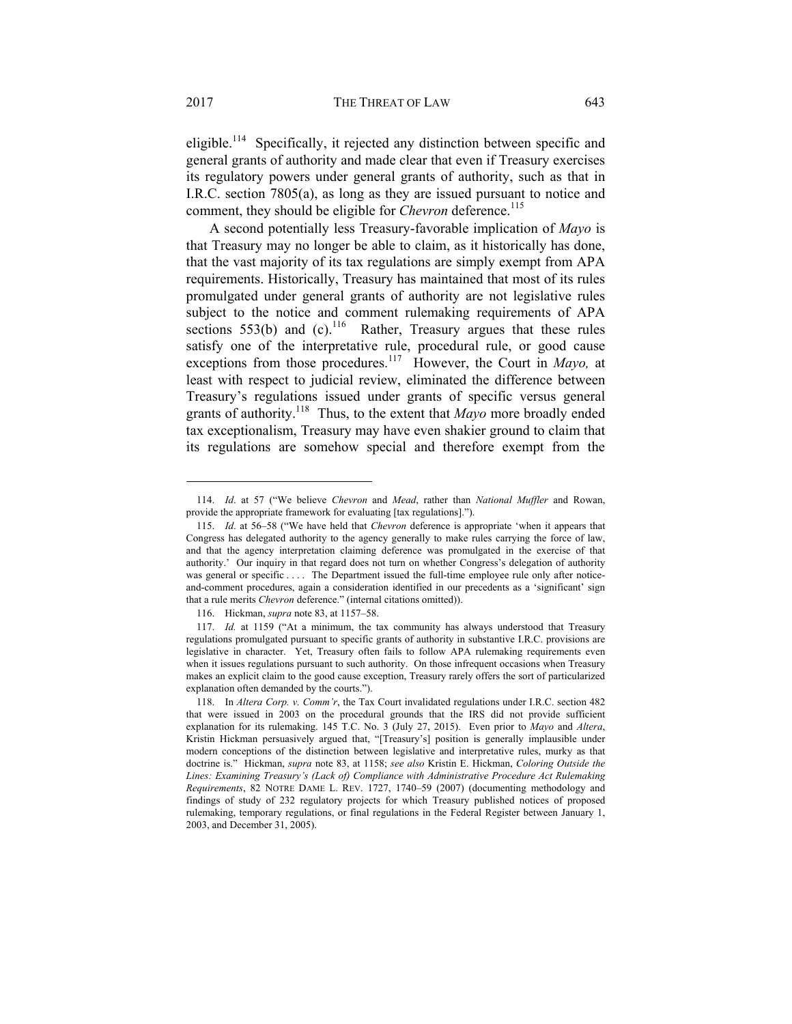eligible.<sup>114</sup> Specifically, it rejected any distinction between specific and general grants of authority and made clear that even if Treasury exercises its regulatory powers under general grants of authority, such as that in I.R.C. section 7805(a), as long as they are issued pursuant to notice and comment, they should be eligible for *Chevron* deference.<sup>115</sup>

A second potentially less Treasury-favorable implication of *Mayo* is that Treasury may no longer be able to claim, as it historically has done, that the vast majority of its tax regulations are simply exempt from APA requirements. Historically, Treasury has maintained that most of its rules promulgated under general grants of authority are not legislative rules subject to the notice and comment rulemaking requirements of APA sections 553(b) and (c).<sup>116</sup> Rather, Treasury argues that these rules satisfy one of the interpretative rule, procedural rule, or good cause exceptions from those procedures.117 However, the Court in *Mayo,* at least with respect to judicial review, eliminated the difference between Treasury's regulations issued under grants of specific versus general grants of authority.118 Thus, to the extent that *Mayo* more broadly ended tax exceptionalism, Treasury may have even shakier ground to claim that its regulations are somehow special and therefore exempt from the

 <sup>114.</sup> *Id*. at 57 ("We believe *Chevron* and *Mead*, rather than *National Muffler* and Rowan, provide the appropriate framework for evaluating [tax regulations].").

 <sup>115.</sup> *Id*. at 56–58 ("We have held that *Chevron* deference is appropriate 'when it appears that Congress has delegated authority to the agency generally to make rules carrying the force of law, and that the agency interpretation claiming deference was promulgated in the exercise of that authority.' Our inquiry in that regard does not turn on whether Congress's delegation of authority was general or specific .... The Department issued the full-time employee rule only after noticeand-comment procedures, again a consideration identified in our precedents as a 'significant' sign that a rule merits *Chevron* deference." (internal citations omitted)).

 <sup>116.</sup> Hickman, *supra* note 83, at 1157–58.

 <sup>117.</sup> *Id.* at 1159 ("At a minimum, the tax community has always understood that Treasury regulations promulgated pursuant to specific grants of authority in substantive I.R.C. provisions are legislative in character. Yet, Treasury often fails to follow APA rulemaking requirements even when it issues regulations pursuant to such authority. On those infrequent occasions when Treasury makes an explicit claim to the good cause exception, Treasury rarely offers the sort of particularized explanation often demanded by the courts.").

 <sup>118.</sup> In *Altera Corp. v. Comm'r*, the Tax Court invalidated regulations under I.R.C. section 482 that were issued in 2003 on the procedural grounds that the IRS did not provide sufficient explanation for its rulemaking. 145 T.C. No. 3 (July 27, 2015). Even prior to *Mayo* and *Altera*, Kristin Hickman persuasively argued that, "[Treasury's] position is generally implausible under modern conceptions of the distinction between legislative and interpretative rules, murky as that doctrine is." Hickman, *supra* note 83, at 1158; *see also* Kristin E. Hickman, *Coloring Outside the Lines: Examining Treasury's (Lack of) Compliance with Administrative Procedure Act Rulemaking Requirements*, 82 NOTRE DAME L. REV. 1727, 1740–59 (2007) (documenting methodology and findings of study of 232 regulatory projects for which Treasury published notices of proposed rulemaking, temporary regulations, or final regulations in the Federal Register between January 1, 2003, and December 31, 2005).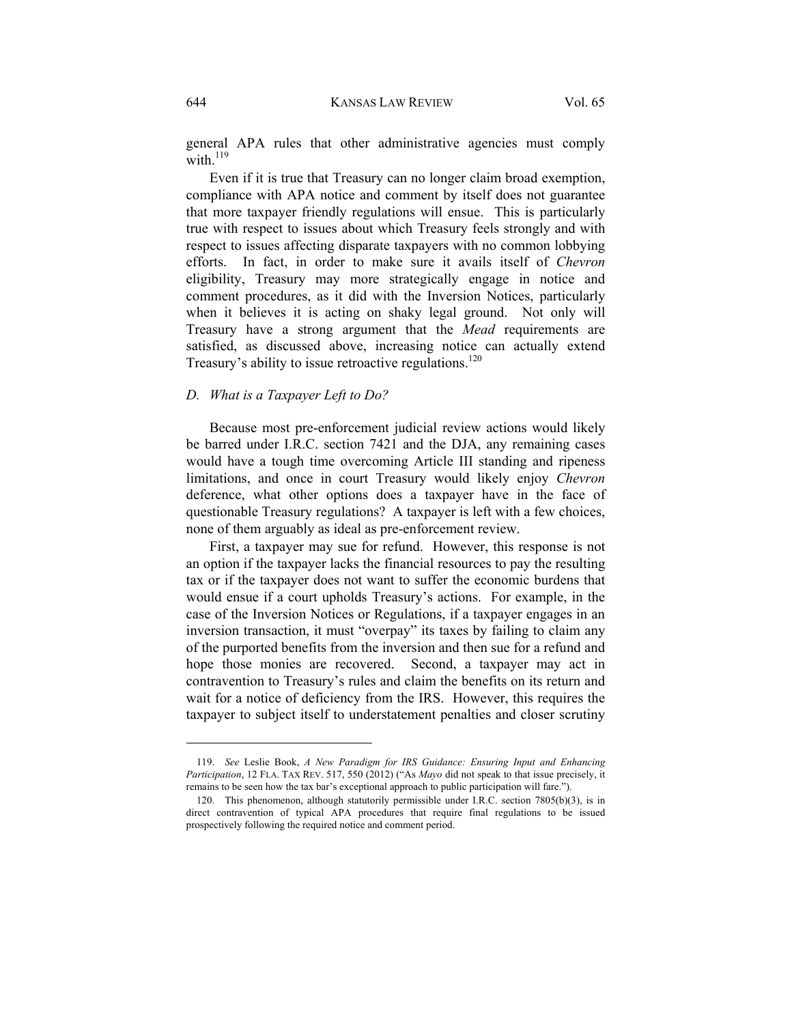general APA rules that other administrative agencies must comply with  $^{119}$ 

Even if it is true that Treasury can no longer claim broad exemption, compliance with APA notice and comment by itself does not guarantee that more taxpayer friendly regulations will ensue. This is particularly true with respect to issues about which Treasury feels strongly and with respect to issues affecting disparate taxpayers with no common lobbying efforts. In fact, in order to make sure it avails itself of *Chevron*  eligibility, Treasury may more strategically engage in notice and comment procedures, as it did with the Inversion Notices, particularly when it believes it is acting on shaky legal ground. Not only will Treasury have a strong argument that the *Mead* requirements are satisfied, as discussed above, increasing notice can actually extend Treasury's ability to issue retroactive regulations.<sup>120</sup>

#### *D. What is a Taxpayer Left to Do?*

Because most pre-enforcement judicial review actions would likely be barred under I.R.C. section 7421 and the DJA, any remaining cases would have a tough time overcoming Article III standing and ripeness limitations, and once in court Treasury would likely enjoy *Chevron*  deference, what other options does a taxpayer have in the face of questionable Treasury regulations? A taxpayer is left with a few choices, none of them arguably as ideal as pre-enforcement review.

First, a taxpayer may sue for refund. However, this response is not an option if the taxpayer lacks the financial resources to pay the resulting tax or if the taxpayer does not want to suffer the economic burdens that would ensue if a court upholds Treasury's actions. For example, in the case of the Inversion Notices or Regulations, if a taxpayer engages in an inversion transaction, it must "overpay" its taxes by failing to claim any of the purported benefits from the inversion and then sue for a refund and hope those monies are recovered. Second, a taxpayer may act in contravention to Treasury's rules and claim the benefits on its return and wait for a notice of deficiency from the IRS. However, this requires the taxpayer to subject itself to understatement penalties and closer scrutiny

 <sup>119.</sup> *See* Leslie Book, *A New Paradigm for IRS Guidance: Ensuring Input and Enhancing Participation*, 12 FLA. TAX REV. 517, 550 (2012) ("As *Mayo* did not speak to that issue precisely, it remains to be seen how the tax bar's exceptional approach to public participation will fare.").

 <sup>120.</sup> This phenomenon, although statutorily permissible under I.R.C. section 7805(b)(3), is in direct contravention of typical APA procedures that require final regulations to be issued prospectively following the required notice and comment period.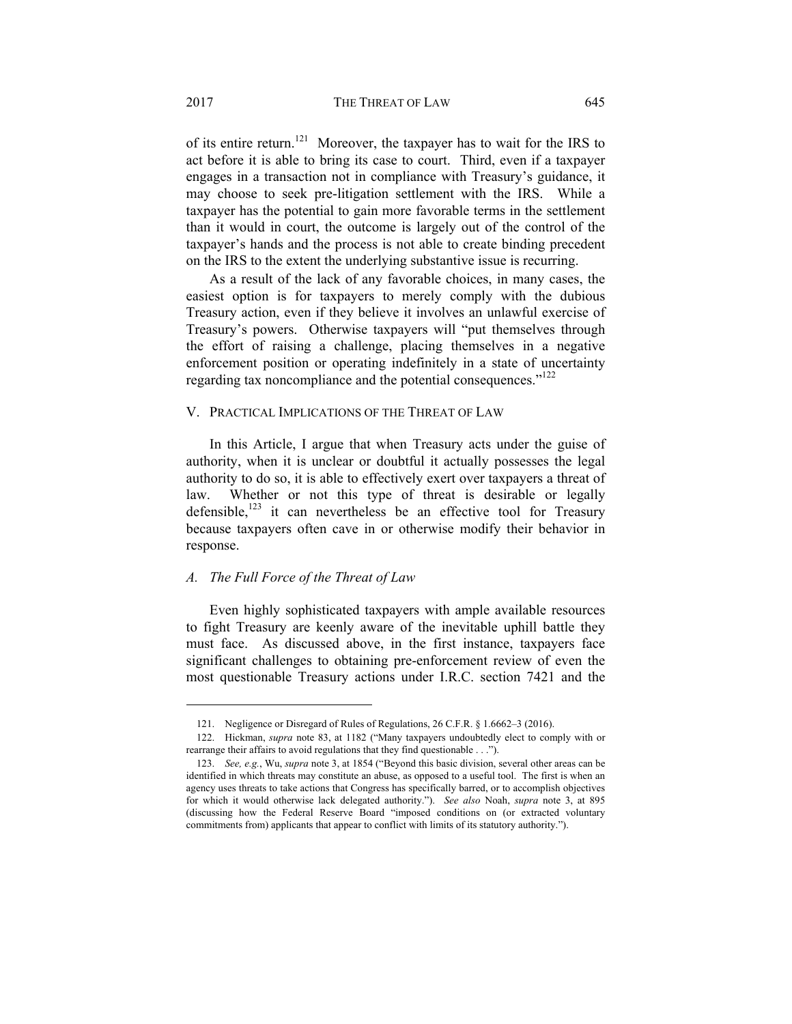of its entire return.<sup>121</sup> Moreover, the taxpayer has to wait for the IRS to act before it is able to bring its case to court. Third, even if a taxpayer engages in a transaction not in compliance with Treasury's guidance, it may choose to seek pre-litigation settlement with the IRS. While a taxpayer has the potential to gain more favorable terms in the settlement than it would in court, the outcome is largely out of the control of the taxpayer's hands and the process is not able to create binding precedent on the IRS to the extent the underlying substantive issue is recurring.

As a result of the lack of any favorable choices, in many cases, the easiest option is for taxpayers to merely comply with the dubious Treasury action, even if they believe it involves an unlawful exercise of Treasury's powers. Otherwise taxpayers will "put themselves through the effort of raising a challenge, placing themselves in a negative enforcement position or operating indefinitely in a state of uncertainty regarding tax noncompliance and the potential consequences."<sup>122</sup>

#### V. PRACTICAL IMPLICATIONS OF THE THREAT OF LAW

In this Article, I argue that when Treasury acts under the guise of authority, when it is unclear or doubtful it actually possesses the legal authority to do so, it is able to effectively exert over taxpayers a threat of law. Whether or not this type of threat is desirable or legally defensible, $123$  it can nevertheless be an effective tool for Treasury because taxpayers often cave in or otherwise modify their behavior in response.

# *A. The Full Force of the Threat of Law*

Even highly sophisticated taxpayers with ample available resources to fight Treasury are keenly aware of the inevitable uphill battle they must face. As discussed above, in the first instance, taxpayers face significant challenges to obtaining pre-enforcement review of even the most questionable Treasury actions under I.R.C. section 7421 and the

 <sup>121.</sup> Negligence or Disregard of Rules of Regulations, 26 C.F.R. § 1.6662–3 (2016).

 <sup>122.</sup> Hickman, *supra* note 83, at 1182 ("Many taxpayers undoubtedly elect to comply with or rearrange their affairs to avoid regulations that they find questionable . . .").

 <sup>123.</sup> *See, e.g.*, Wu, *supra* note 3, at 1854 ("Beyond this basic division, several other areas can be identified in which threats may constitute an abuse, as opposed to a useful tool. The first is when an agency uses threats to take actions that Congress has specifically barred, or to accomplish objectives for which it would otherwise lack delegated authority."). *See also* Noah, *supra* note 3, at 895 (discussing how the Federal Reserve Board "imposed conditions on (or extracted voluntary commitments from) applicants that appear to conflict with limits of its statutory authority.").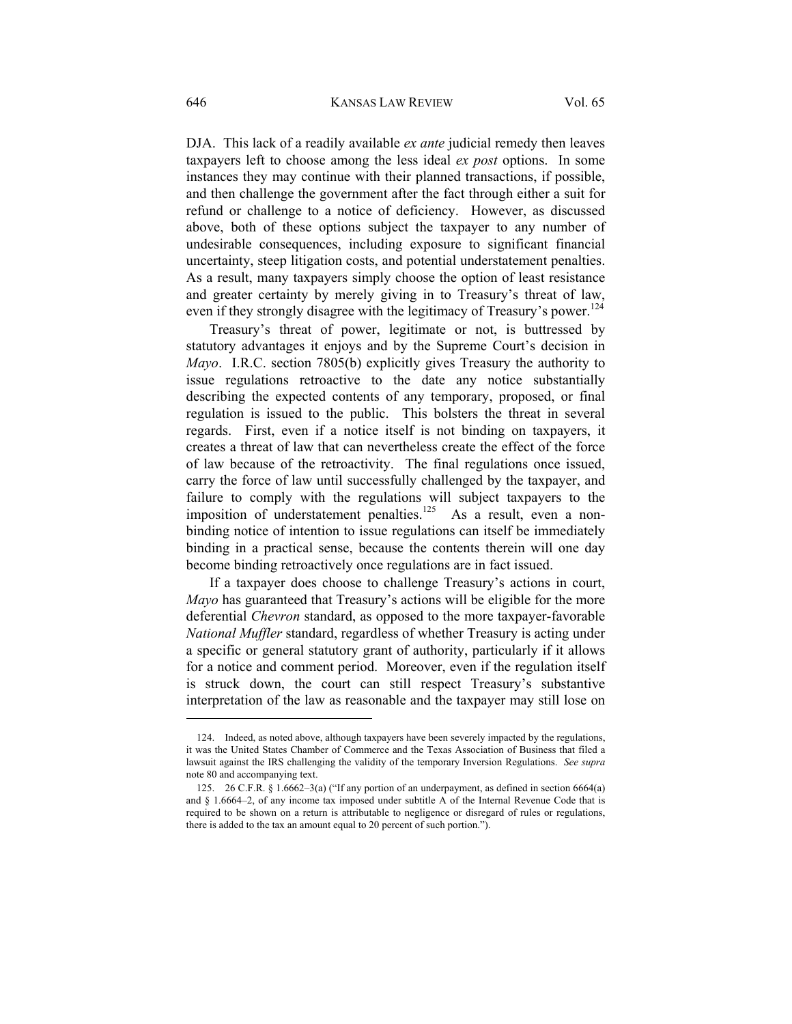DJA. This lack of a readily available *ex ante* judicial remedy then leaves taxpayers left to choose among the less ideal *ex post* options. In some instances they may continue with their planned transactions, if possible, and then challenge the government after the fact through either a suit for refund or challenge to a notice of deficiency. However, as discussed above, both of these options subject the taxpayer to any number of undesirable consequences, including exposure to significant financial uncertainty, steep litigation costs, and potential understatement penalties. As a result, many taxpayers simply choose the option of least resistance and greater certainty by merely giving in to Treasury's threat of law, even if they strongly disagree with the legitimacy of Treasury's power.<sup>124</sup>

Treasury's threat of power, legitimate or not, is buttressed by statutory advantages it enjoys and by the Supreme Court's decision in *Mayo*. I.R.C. section 7805(b) explicitly gives Treasury the authority to issue regulations retroactive to the date any notice substantially describing the expected contents of any temporary, proposed, or final regulation is issued to the public. This bolsters the threat in several regards. First, even if a notice itself is not binding on taxpayers, it creates a threat of law that can nevertheless create the effect of the force of law because of the retroactivity. The final regulations once issued, carry the force of law until successfully challenged by the taxpayer, and failure to comply with the regulations will subject taxpayers to the imposition of understatement penalties.<sup>125</sup> As a result, even a nonbinding notice of intention to issue regulations can itself be immediately binding in a practical sense, because the contents therein will one day become binding retroactively once regulations are in fact issued.

If a taxpayer does choose to challenge Treasury's actions in court, *Mayo* has guaranteed that Treasury's actions will be eligible for the more deferential *Chevron* standard, as opposed to the more taxpayer-favorable *National Muffler* standard, regardless of whether Treasury is acting under a specific or general statutory grant of authority, particularly if it allows for a notice and comment period. Moreover, even if the regulation itself is struck down, the court can still respect Treasury's substantive interpretation of the law as reasonable and the taxpayer may still lose on

 <sup>124.</sup> Indeed, as noted above, although taxpayers have been severely impacted by the regulations, it was the United States Chamber of Commerce and the Texas Association of Business that filed a lawsuit against the IRS challenging the validity of the temporary Inversion Regulations. *See supra* note 80 and accompanying text.

 <sup>125. 26</sup> C.F.R. § 1.6662–3(a) ("If any portion of an underpayment, as defined in section 6664(a) and § 1.6664–2, of any income tax imposed under subtitle A of the Internal Revenue Code that is required to be shown on a return is attributable to negligence or disregard of rules or regulations, there is added to the tax an amount equal to 20 percent of such portion.").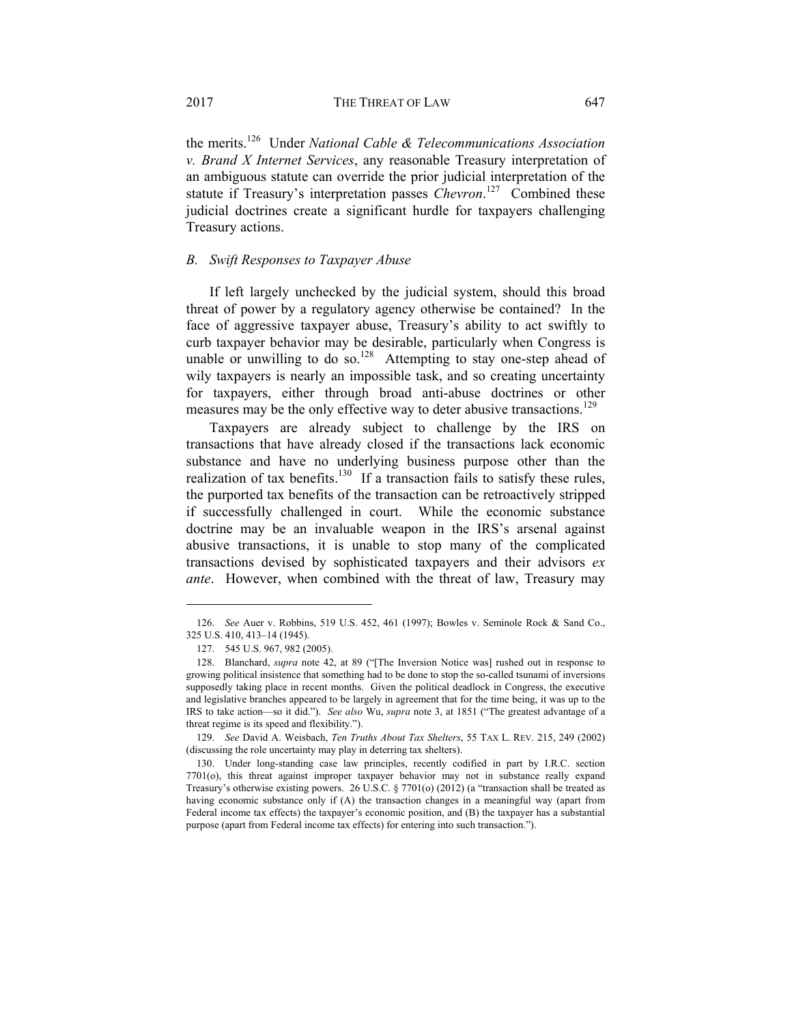the merits.126 Under *National Cable & Telecommunications Association v. Brand X Internet Services*, any reasonable Treasury interpretation of an ambiguous statute can override the prior judicial interpretation of the statute if Treasury's interpretation passes *Chevron*.<sup>127</sup> Combined these judicial doctrines create a significant hurdle for taxpayers challenging Treasury actions.

#### *B. Swift Responses to Taxpayer Abuse*

If left largely unchecked by the judicial system, should this broad threat of power by a regulatory agency otherwise be contained? In the face of aggressive taxpayer abuse, Treasury's ability to act swiftly to curb taxpayer behavior may be desirable, particularly when Congress is unable or unwilling to do so.<sup>128</sup> Attempting to stay one-step ahead of wily taxpayers is nearly an impossible task, and so creating uncertainty for taxpayers, either through broad anti-abuse doctrines or other measures may be the only effective way to deter abusive transactions.<sup>129</sup>

Taxpayers are already subject to challenge by the IRS on transactions that have already closed if the transactions lack economic substance and have no underlying business purpose other than the realization of tax benefits.<sup>130</sup> If a transaction fails to satisfy these rules, the purported tax benefits of the transaction can be retroactively stripped if successfully challenged in court. While the economic substance doctrine may be an invaluable weapon in the IRS's arsenal against abusive transactions, it is unable to stop many of the complicated transactions devised by sophisticated taxpayers and their advisors *ex ante*. However, when combined with the threat of law, Treasury may

 <sup>126.</sup> *See* Auer v. Robbins, 519 U.S. 452, 461 (1997); Bowles v. Seminole Rock & Sand Co., 325 U.S. 410, 413–14 (1945).

 <sup>127. 545</sup> U.S. 967, 982 (2005).

 <sup>128.</sup> Blanchard, *supra* note 42, at 89 ("[The Inversion Notice was] rushed out in response to growing political insistence that something had to be done to stop the so-called tsunami of inversions supposedly taking place in recent months. Given the political deadlock in Congress, the executive and legislative branches appeared to be largely in agreement that for the time being, it was up to the IRS to take action—so it did."). *See also* Wu, *supra* note 3, at 1851 ("The greatest advantage of a threat regime is its speed and flexibility.").

 <sup>129.</sup> *See* David A. Weisbach, *Ten Truths About Tax Shelters*, 55 TAX L. REV. 215, 249 (2002) (discussing the role uncertainty may play in deterring tax shelters).

 <sup>130.</sup> Under long-standing case law principles, recently codified in part by I.R.C. section 7701(o), this threat against improper taxpayer behavior may not in substance really expand Treasury's otherwise existing powers. 26 U.S.C. § 7701(o) (2012) (a "transaction shall be treated as having economic substance only if (A) the transaction changes in a meaningful way (apart from Federal income tax effects) the taxpayer's economic position, and (B) the taxpayer has a substantial purpose (apart from Federal income tax effects) for entering into such transaction.").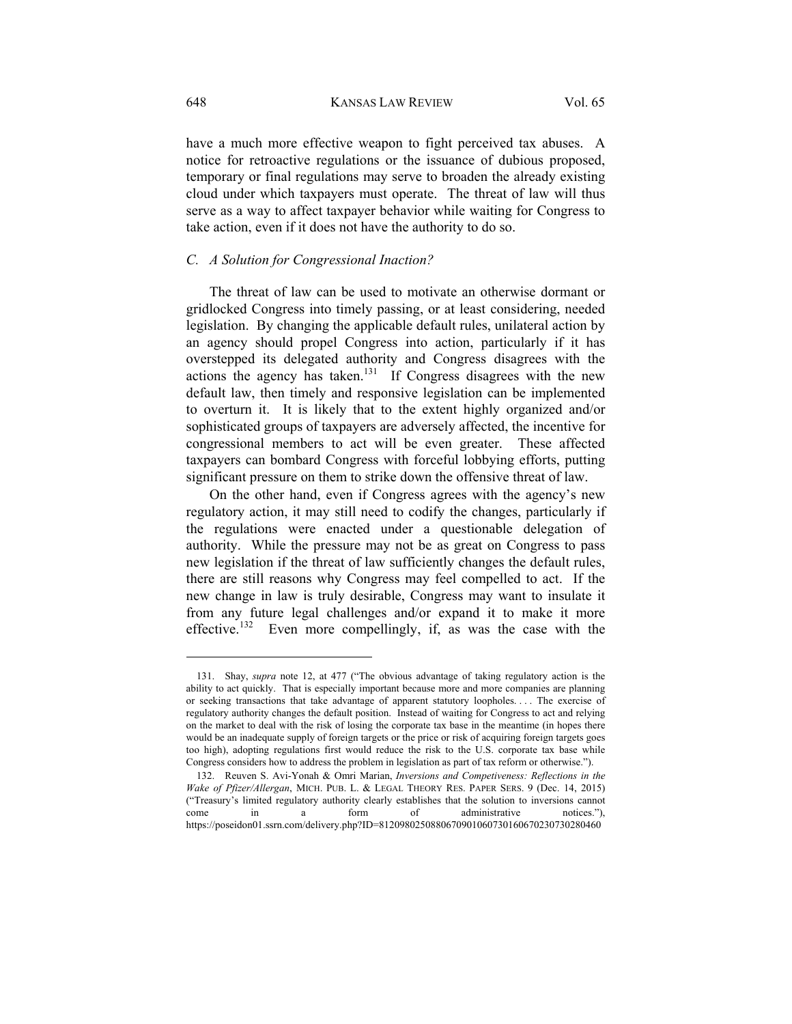have a much more effective weapon to fight perceived tax abuses. A notice for retroactive regulations or the issuance of dubious proposed, temporary or final regulations may serve to broaden the already existing cloud under which taxpayers must operate. The threat of law will thus serve as a way to affect taxpayer behavior while waiting for Congress to take action, even if it does not have the authority to do so.

## *C. A Solution for Congressional Inaction?*

The threat of law can be used to motivate an otherwise dormant or gridlocked Congress into timely passing, or at least considering, needed legislation. By changing the applicable default rules, unilateral action by an agency should propel Congress into action, particularly if it has overstepped its delegated authority and Congress disagrees with the actions the agency has taken.<sup>131</sup> If Congress disagrees with the new default law, then timely and responsive legislation can be implemented to overturn it. It is likely that to the extent highly organized and/or sophisticated groups of taxpayers are adversely affected, the incentive for congressional members to act will be even greater. These affected taxpayers can bombard Congress with forceful lobbying efforts, putting significant pressure on them to strike down the offensive threat of law.

On the other hand, even if Congress agrees with the agency's new regulatory action, it may still need to codify the changes, particularly if the regulations were enacted under a questionable delegation of authority. While the pressure may not be as great on Congress to pass new legislation if the threat of law sufficiently changes the default rules, there are still reasons why Congress may feel compelled to act. If the new change in law is truly desirable, Congress may want to insulate it from any future legal challenges and/or expand it to make it more effective.<sup>132</sup> Even more compellingly, if, as was the case with the

 <sup>131.</sup> Shay, *supra* note 12, at 477 ("The obvious advantage of taking regulatory action is the ability to act quickly. That is especially important because more and more companies are planning or seeking transactions that take advantage of apparent statutory loopholes. . . . The exercise of regulatory authority changes the default position. Instead of waiting for Congress to act and relying on the market to deal with the risk of losing the corporate tax base in the meantime (in hopes there would be an inadequate supply of foreign targets or the price or risk of acquiring foreign targets goes too high), adopting regulations first would reduce the risk to the U.S. corporate tax base while Congress considers how to address the problem in legislation as part of tax reform or otherwise.").

 <sup>132.</sup> Reuven S. Avi-Yonah & Omri Marian, *Inversions and Competiveness: Reflections in the Wake of Pfizer/Allergan*, MICH. PUB. L. & LEGAL THEORY RES. PAPER SERS. 9 (Dec. 14, 2015) ("Treasury's limited regulatory authority clearly establishes that the solution to inversions cannot come in a form of administrative notices."), https://poseidon01.ssrn.com/delivery.php?ID=8120980250880670901060730160670230730280460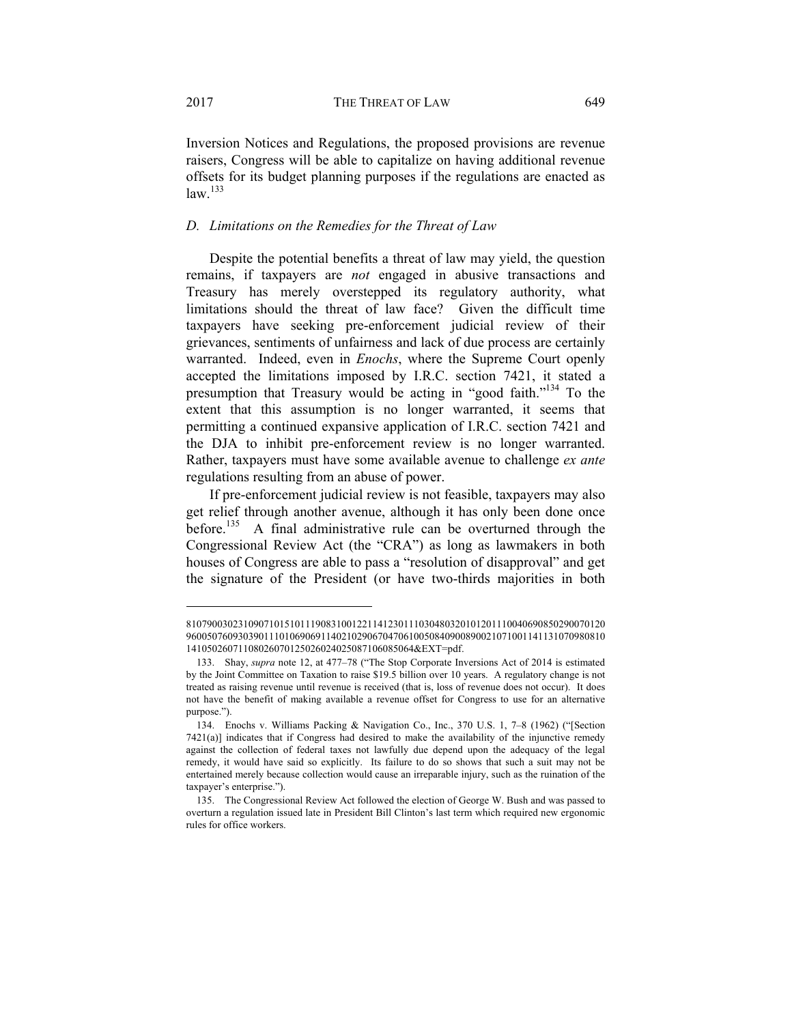Inversion Notices and Regulations, the proposed provisions are revenue raisers, Congress will be able to capitalize on having additional revenue offsets for its budget planning purposes if the regulations are enacted as  $law.<sup>133</sup>$ 

### *D. Limitations on the Remedies for the Threat of Law*

Despite the potential benefits a threat of law may yield, the question remains, if taxpayers are *not* engaged in abusive transactions and Treasury has merely overstepped its regulatory authority, what limitations should the threat of law face? Given the difficult time taxpayers have seeking pre-enforcement judicial review of their grievances, sentiments of unfairness and lack of due process are certainly warranted. Indeed, even in *Enochs*, where the Supreme Court openly accepted the limitations imposed by I.R.C. section 7421, it stated a presumption that Treasury would be acting in "good faith."134 To the extent that this assumption is no longer warranted, it seems that permitting a continued expansive application of I.R.C. section 7421 and the DJA to inhibit pre-enforcement review is no longer warranted. Rather, taxpayers must have some available avenue to challenge *ex ante*  regulations resulting from an abuse of power.

If pre-enforcement judicial review is not feasible, taxpayers may also get relief through another avenue, although it has only been done once before.<sup>135</sup> A final administrative rule can be overturned through the Congressional Review Act (the "CRA") as long as lawmakers in both houses of Congress are able to pass a "resolution of disapproval" and get the signature of the President (or have two-thirds majorities in both

<sup>810790030231090710151011190831001221141230111030480320101201110040690850290070120</sup> 960050760930390111010690691140210290670470610050840900890021071001141131070980810 14105026071108026070125026024025087106085064&EXT=pdf.

 <sup>133.</sup> Shay, *supra* note 12, at 477–78 ("The Stop Corporate Inversions Act of 2014 is estimated by the Joint Committee on Taxation to raise \$19.5 billion over 10 years. A regulatory change is not treated as raising revenue until revenue is received (that is, loss of revenue does not occur). It does not have the benefit of making available a revenue offset for Congress to use for an alternative purpose.").

 <sup>134.</sup> Enochs v. Williams Packing & Navigation Co., Inc., 370 U.S. 1, 7–8 (1962) ("[Section 7421(a)] indicates that if Congress had desired to make the availability of the injunctive remedy against the collection of federal taxes not lawfully due depend upon the adequacy of the legal remedy, it would have said so explicitly. Its failure to do so shows that such a suit may not be entertained merely because collection would cause an irreparable injury, such as the ruination of the taxpayer's enterprise.").

 <sup>135.</sup> The Congressional Review Act followed the election of George W. Bush and was passed to overturn a regulation issued late in President Bill Clinton's last term which required new ergonomic rules for office workers.